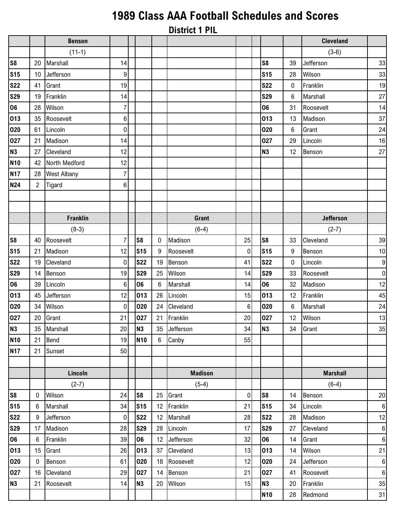## **1989 Class AAA Football Schedules and Scores**

|                |                |                    |                 |                |    | <b>District 1 PIL</b> |                |                |                 |                  |                 |
|----------------|----------------|--------------------|-----------------|----------------|----|-----------------------|----------------|----------------|-----------------|------------------|-----------------|
|                |                | <b>Benson</b>      |                 |                |    |                       |                |                |                 | <b>Cleveland</b> |                 |
|                |                | $(11-1)$           |                 |                |    |                       |                |                |                 | $(3-6)$          |                 |
| S <sub>8</sub> | 20             | Marshall           | 14              |                |    |                       |                | S <sub>8</sub> | 39              | Jefferson        | 33              |
| <b>S15</b>     | 10             | Jefferson          | $\vert 9 \vert$ |                |    |                       |                | <b>S15</b>     | 28              | Wilson           | 33              |
| <b>S22</b>     | 41             | Grant              | 19              |                |    |                       |                | <b>S22</b>     | 0               | Franklin         | 19              |
| <b>S29</b>     | 19             | Franklin           | 14              |                |    |                       |                | <b>S29</b>     | 6               | Marshall         | 27              |
| 06             | 28             | Wilson             | $\overline{7}$  |                |    |                       |                | 06             | 31              | Roosevelt        | 14              |
| 013            | 35             | Roosevelt          | 6 <sup>1</sup>  |                |    |                       |                | 013            | 13              | Madison          | 37              |
| 020            | 61             | Lincoln            | $\overline{0}$  |                |    |                       |                | 020            | 6               | Grant            | 24              |
| 027            | 21             | Madison            | 14              |                |    |                       |                | 027            | 29              | Lincoln          | 16              |
| <b>N3</b>      | 27             | Cleveland          | 12              |                |    |                       |                | <b>N3</b>      | 12              | Benson           | 27              |
| <b>N10</b>     | 42             | North Medford      | 12              |                |    |                       |                |                |                 |                  |                 |
| <b>N17</b>     | 28             | <b>West Albany</b> | $\overline{7}$  |                |    |                       |                |                |                 |                  |                 |
| N24            | $\overline{2}$ | Tigard             | 6               |                |    |                       |                |                |                 |                  |                 |
|                |                |                    |                 |                |    |                       |                |                |                 |                  |                 |
|                |                |                    |                 |                |    |                       |                |                |                 |                  |                 |
|                |                | <b>Franklin</b>    |                 |                |    | <b>Grant</b>          |                |                |                 | <b>Jefferson</b> |                 |
|                |                | $(8-3)$            |                 |                |    | $(6-4)$               |                |                |                 | $(2-7)$          |                 |
| S8             | 40             | Roosevelt          | $\overline{7}$  | S <sub>8</sub> | 0  | Madison               | 25             | S <sub>8</sub> | 33              | Cleveland        | 39              |
| <b>S15</b>     | 21             | Madison            | 12              | <b>S15</b>     | 9  | Roosevelt             | 0              | <b>S15</b>     | 9               | Benson           | 10              |
| <b>S22</b>     | 19             | Cleveland          | $\overline{0}$  | <b>S22</b>     | 19 | Benson                | 41             | <b>S22</b>     | $\mathbf 0$     | Lincoln          | 9               |
| <b>S29</b>     | 14             | Benson             | 19              | <b>S29</b>     | 25 | Wilson                | 14             | <b>S29</b>     | 33              | Roosevelt        | $\mathbf 0$     |
| 06             | 39             | Lincoln            | $6\phantom{.}$  | 06             | 6  | Marshall              | 14             | 06             | 32              | Madison          | 12              |
| 013            | 45             | Jefferson          | 12              | 013            | 26 | Lincoln               | 15             | 013            | 12              | Franklin         | 45              |
| 020            | 34             | Wilson             | $\overline{0}$  | 020            | 24 | Cleveland             | $6\phantom{.}$ | 020            | 6               | Marshall         | 24              |
| 027            | 20             | Grant              | 21              | 027            | 21 | Franklin              | 20             | 027            | 12 <sup>°</sup> | Wilson           | 13              |
| N3             | 35             | Marshall           | 20 <sup>1</sup> | <b>N3</b>      | 35 | Jefferson             | 34             | N3             | 34              | Grant            | 35              |
| <b>N10</b>     | 21             | Bend               | 19              | <b>N10</b>     | 6  | Canby                 | 55             |                |                 |                  |                 |
| <b>N17</b>     | 21             | Sunset             | 50              |                |    |                       |                |                |                 |                  |                 |
|                |                |                    |                 |                |    |                       |                |                |                 |                  |                 |
|                |                | Lincoln            |                 |                |    | <b>Madison</b>        |                |                |                 | <b>Marshall</b>  |                 |
|                |                | $(2-7)$            |                 |                |    | $(5-4)$               |                |                |                 | $(6-4)$          |                 |
| S8             | 0              | Wilson             | 24              | S <sub>8</sub> | 25 | Grant                 | $\pmb{0}$      | S <sub>8</sub> | 14              | Benson           | 20              |
| <b>S15</b>     | 6              | Marshall           | 34              | <b>S15</b>     | 12 | Franklin              | 21             | <b>S15</b>     | 34              | Lincoln          | 6               |
| <b>S22</b>     | 9              | Jefferson          | $\overline{0}$  | <b>S22</b>     | 12 | Marshall              | 28             | <b>S22</b>     | 28              | Madison          | 12              |
| <b>S29</b>     | 17             | Madison            | 28              | <b>S29</b>     | 28 | Lincoln               | 17             | <b>S29</b>     | 27              | Cleveland        | 6               |
| 06             | 6              | Franklin           | 39              | 06             | 12 | Jefferson             | 32             | 06             | 14              | Grant            | $6\phantom{1}6$ |
| 013            | 15             | Grant              | 26              | 013            | 37 | Cleveland             | 13             | 013            | 14              | Wilson           | 21              |
| 020            | $\mathbf{0}$   | Benson             | 61              | 020            | 18 | Roosevelt             | 12             | 020            | 24              | Jefferson        | $6\phantom{1}6$ |
| 027            | 16             | Cleveland          | 29              | 027            | 14 | Benson                | 21             | 027            | 41              | Roosevelt        | $6\phantom{1}6$ |
| N3             | 21             | Roosevelt          | 14              | N3             | 20 | Wilson                | 15             | N <sub>3</sub> | 20              | Franklin         | 35              |
|                |                |                    |                 |                |    |                       |                | <b>N10</b>     | 28              | Redmond          | 31              |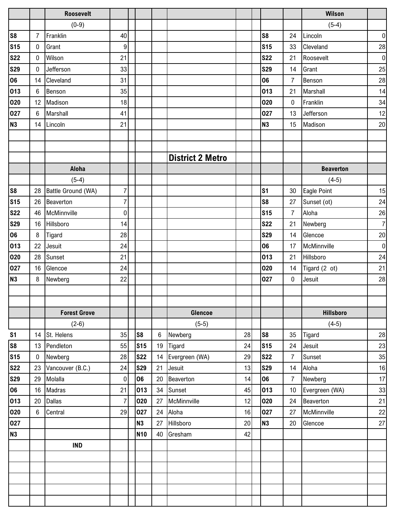|                |                  | <b>Roosevelt</b>    |                |                |       |                         |    |                |                | Wilson           |                  |
|----------------|------------------|---------------------|----------------|----------------|-------|-------------------------|----|----------------|----------------|------------------|------------------|
|                |                  | $(0-9)$             |                |                |       |                         |    |                |                | $(5-4)$          |                  |
| S <sub>8</sub> | 7                | Franklin            | 40             |                |       |                         |    | S <sub>8</sub> | 24             | Lincoln          | $\boldsymbol{0}$ |
| <b>S15</b>     | 0                | Grant               | 9              |                |       |                         |    | <b>S15</b>     | 33             | Cleveland        | 28               |
| <b>S22</b>     | 0                | Wilson              | 21             |                |       |                         |    | <b>S22</b>     | 21             | Roosevelt        | $\pmb{0}$        |
| <b>S29</b>     | $\mathbf{0}$     | Jefferson           | 33             |                |       |                         |    | <b>S29</b>     | 14             | Grant            | 25               |
| 06             | 14               | Cleveland           | 31             |                |       |                         |    | 06             | $\overline{7}$ | Benson           | 28               |
| 013            | 6                | Benson              | 35             |                |       |                         |    | 013            | 21             | Marshall         | 14               |
| 020            | 12               | Madison             | 18             |                |       |                         |    | 020            | $\pmb{0}$      | Franklin         | 34               |
| 027            | 6                | Marshall            | 41             |                |       |                         |    | 027            | 13             | Jefferson        | 12               |
| <b>N3</b>      | 14               | Lincoln             | 21             |                |       |                         |    | <b>N3</b>      | 15             | Madison          | 20               |
|                |                  |                     |                |                |       |                         |    |                |                |                  |                  |
|                |                  |                     |                |                |       |                         |    |                |                |                  |                  |
|                |                  |                     |                |                |       | <b>District 2 Metro</b> |    |                |                |                  |                  |
|                |                  | Aloha               |                |                |       |                         |    |                |                | <b>Beaverton</b> |                  |
|                |                  | $(5-4)$             |                |                |       |                         |    |                |                | $(4-5)$          |                  |
| S <sub>8</sub> | 28               | Battle Ground (WA)  | $\overline{7}$ |                |       |                         |    | s <sub>1</sub> | 30             | Eagle Point      | 15               |
| <b>S15</b>     | 26               | Beaverton           | $\overline{7}$ |                |       |                         |    | S <sub>8</sub> | 27             | Sunset (ot)      | 24               |
| <b>S22</b>     | 46               | McMinnville         | 0              |                |       |                         |    | <b>S15</b>     | $\overline{7}$ | Aloha            | 26               |
| <b>S29</b>     | 16               | Hillsboro           | 14             |                |       |                         |    | <b>S22</b>     | 21             | Newberg          | $\overline{7}$   |
| 06             | 8                | Tigard              | 28             |                |       |                         |    | <b>S29</b>     | 14             | Glencoe          | $20\,$           |
| 013            | 22               | Jesuit              | 24             |                |       |                         |    | 06             | 17             | McMinnville      | $\pmb{0}$        |
| 020            | 28               | Sunset              | 21             |                |       |                         |    | 013            | 21             | Hillsboro        | 24               |
| 027            | 16               | Glencoe             | 24             |                |       |                         |    | 020            | 14             | Tigard (2 ot)    | 21               |
| N <sub>3</sub> | 8                | Newberg             | 22             |                |       |                         |    | 027            | $\pmb{0}$      | Jesuit           | 28               |
|                |                  |                     |                |                |       |                         |    |                |                |                  |                  |
|                |                  |                     |                |                |       |                         |    |                |                |                  |                  |
|                |                  | <b>Forest Grove</b> |                |                |       | <b>Glencoe</b>          |    |                |                | <b>Hillsboro</b> |                  |
|                |                  | $(2-6)$             |                |                |       | $(5-5)$                 |    |                |                | $(4-5)$          |                  |
| S <sub>1</sub> | 14               | St. Helens          | 35             | S <sub>8</sub> | $\,6$ | Newberg                 | 28 | S <sub>8</sub> | 35             | Tigard           | 28               |
| S8             | 13               | Pendleton           | 55             | <b>S15</b>     | 19    | Tigard                  | 24 | <b>S15</b>     | 24             | Jesuit           | 23               |
| <b>S15</b>     | $\boldsymbol{0}$ | Newberg             | 28             | <b>S22</b>     | 14    | Evergreen (WA)          | 29 | <b>S22</b>     | $\overline{7}$ | Sunset           | 35               |
| <b>S22</b>     | 23               | Vancouver (B.C.)    | 24             | <b>S29</b>     | 21    | Jesuit                  | 13 | <b>S29</b>     | 14             | Aloha            | 16               |
| <b>S29</b>     | 29               | Molalla             | $\pmb{0}$      | 06             | 20    | Beaverton               | 14 | 06             | $\overline{7}$ | Newberg          | 17               |
| 06             | 16               | Madras              | 21             | 013            | 34    | Sunset                  | 45 | 013            | 10             | Evergreen (WA)   | 33               |
| 013            | 20               | <b>Dallas</b>       | $\overline{7}$ | 020            | 27    | McMinnville             | 12 | 020            | 24             | Beaverton        | 21               |
| 020            | 6                | Central             | 29             | 027            | 24    | Aloha                   | 16 | 027            | 27             | McMinnville      | $22\,$           |
| 027            |                  |                     |                | N3             | 27    | Hillsboro               | 20 | <b>N3</b>      | 20             | Glencoe          | $27\,$           |
| <b>N3</b>      |                  |                     |                | <b>N10</b>     | 40    | Gresham                 | 42 |                |                |                  |                  |
|                |                  | <b>IND</b>          |                |                |       |                         |    |                |                |                  |                  |
|                |                  |                     |                |                |       |                         |    |                |                |                  |                  |
|                |                  |                     |                |                |       |                         |    |                |                |                  |                  |
|                |                  |                     |                |                |       |                         |    |                |                |                  |                  |
|                |                  |                     |                |                |       |                         |    |                |                |                  |                  |
|                |                  |                     |                |                |       |                         |    |                |                |                  |                  |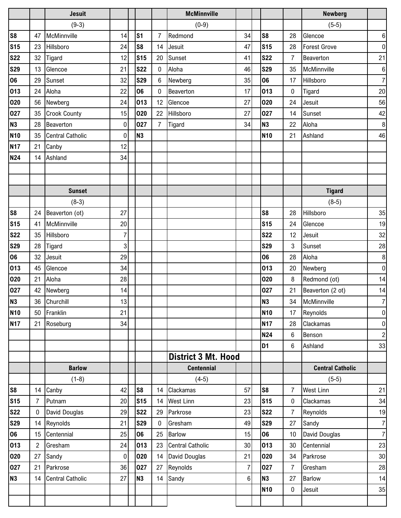|                |    | <b>Jesuit</b>           |                |                |                | <b>McMinnville</b>         |                |                |                | <b>Newberg</b>          |                  |
|----------------|----|-------------------------|----------------|----------------|----------------|----------------------------|----------------|----------------|----------------|-------------------------|------------------|
|                |    | $(9-3)$                 |                |                |                | $(0-9)$                    |                |                |                | $(5-5)$                 |                  |
| <b>S8</b>      | 47 | McMinnville             | 14             | S <sub>1</sub> | $\overline{7}$ | Redmond                    | 34             | S8             | 28             | Glencoe                 | $\,6\,$          |
| <b>S15</b>     | 23 | Hillsboro               | 24             | S <sub>8</sub> | 14             | Jesuit                     | 47             | <b>S15</b>     | 28             | <b>Forest Grove</b>     | $\pmb{0}$        |
| <b>S22</b>     | 32 | Tigard                  | 12             | <b>S15</b>     | 20             | Sunset                     | 41             | <b>S22</b>     | $\overline{7}$ | Beaverton               | 21               |
| <b>S29</b>     | 13 | Glencoe                 | 21             | <b>S22</b>     | 0              | Aloha                      | 46             | <b>S29</b>     | 35             | McMinnville             | $\,6\,$          |
| 06             | 29 | Sunset                  | 32             | <b>S29</b>     | 6              | Newberg                    | 35             | 06             | 17             | Hillsboro               | $\overline{7}$   |
| 013            | 24 | Aloha                   | 22             | 06             | 0              | Beaverton                  | 17             | 013            | $\pmb{0}$      | Tigard                  | 20               |
| 020            | 56 | Newberg                 | 24             | 013            | 12             | Glencoe                    | 27             | 020            | 24             | Jesuit                  | 56               |
| 027            | 35 | <b>Crook County</b>     | 15             | 020            | 22             | Hillsboro                  | 27             | 027            | 14             | Sunset                  | 42               |
| <b>N3</b>      | 28 | Beaverton               | 0              | 027            | $\overline{7}$ | Tigard                     | 34             | N <sub>3</sub> | 22             | Aloha                   | $\,8\,$          |
| <b>N10</b>     | 35 | <b>Central Catholic</b> | 0              | <b>N3</b>      |                |                            |                | <b>N10</b>     | 21             | Ashland                 | 46               |
| <b>N17</b>     | 21 | Canby                   | 12             |                |                |                            |                |                |                |                         |                  |
| <b>N24</b>     | 14 | Ashland                 | 34             |                |                |                            |                |                |                |                         |                  |
|                |    |                         |                |                |                |                            |                |                |                |                         |                  |
|                |    |                         |                |                |                |                            |                |                |                |                         |                  |
|                |    | <b>Sunset</b>           |                |                |                |                            |                |                |                | <b>Tigard</b>           |                  |
|                |    | $(8-3)$                 |                |                |                |                            |                |                |                | $(8-5)$                 |                  |
| S <sub>8</sub> | 24 | Beaverton (ot)          | 27             |                |                |                            |                | S <sub>8</sub> | 28             | Hillsboro               | 35               |
| <b>S15</b>     | 41 | McMinnville             | 20             |                |                |                            |                | <b>S15</b>     | 24             | Glencoe                 | 19               |
| <b>S22</b>     | 35 | Hillsboro               | $\overline{7}$ |                |                |                            |                | <b>S22</b>     | 12             | Jesuit                  | 32               |
| <b>S29</b>     | 28 | Tigard                  | 3              |                |                |                            |                | <b>S29</b>     | $\mathbf{3}$   | Sunset                  | 28               |
| 06             | 32 | Jesuit                  | 29             |                |                |                            |                | 06             | 28             | Aloha                   | $\,8\,$          |
| 013            | 45 | Glencoe                 | 34             |                |                |                            |                | 013            | 20             | Newberg                 | $\mathbf 0$      |
| 020            | 21 | Aloha                   | 28             |                |                |                            |                | 020            | 8              | Redmond (ot)            | 14               |
| 027            | 42 | Newberg                 | 14             |                |                |                            |                | 027            | 21             | Beaverton (2 ot)        | 14               |
| N3             |    | 36 Churchill            | 13             |                |                |                            |                | <b>N3</b>      | 34             | McMinnville             | $\overline{7}$   |
| <b>N10</b>     | 50 | Franklin                | 21             |                |                |                            |                | <b>N10</b>     | 17             | Reynolds                | $\boldsymbol{0}$ |
| <b>N17</b>     | 21 | Roseburg                | 34             |                |                |                            |                | <b>N17</b>     | 28             | Clackamas               | $\pmb{0}$        |
|                |    |                         |                |                |                |                            |                | <b>N24</b>     | 6              | Benson                  | $\overline{2}$   |
|                |    |                         |                |                |                |                            |                | D <sub>1</sub> | 6              | Ashland                 | 33               |
|                |    |                         |                |                |                | <b>District 3 Mt. Hood</b> |                |                |                |                         |                  |
|                |    | <b>Barlow</b>           |                |                |                | <b>Centennial</b>          |                |                |                | <b>Central Catholic</b> |                  |
|                |    | $(1-8)$                 |                |                |                | $(4-5)$                    |                |                |                | $(5-5)$                 |                  |
| S <sub>8</sub> | 14 | Canby                   | 42             | S <sub>8</sub> | 14             | Clackamas                  | 57             | S <sub>8</sub> | $\overline{7}$ | <b>West Linn</b>        | 21               |
| <b>S15</b>     | 7  | Putnam                  | 20             | <b>S15</b>     | 14             | <b>West Linn</b>           | 23             | <b>S15</b>     | $\pmb{0}$      | Clackamas               | 34               |
| <b>S22</b>     | 0  | David Douglas           | 29             | <b>S22</b>     | 29             | Parkrose                   | 23             | <b>S22</b>     | $\overline{7}$ | Reynolds                | 19               |
| <b>S29</b>     |    | 14 Reynolds             | 21             | <b>S29</b>     | $\mathbf 0$    | Gresham                    | 49             | <b>S29</b>     | 27             | Sandy                   | $\overline{7}$   |
| 06             | 15 | Centennial              | 25             | 06             | 25             | <b>Barlow</b>              | 15             | 06             | 10             | David Douglas           | $\overline{7}$   |
| 013            | 2  | Gresham                 | 24             | 013            | 23             | <b>Central Catholic</b>    | 30             | 013            | 30             | Centennial              | 23               |
| 020            | 27 | Sandy                   | 0              | 020            | 14             | David Douglas              | 21             | 020            | 34             | Parkrose                | 30               |
| 027            | 21 | Parkrose                | 36             | 027            | 27             | Reynolds                   | $\overline{7}$ | 027            | $\overline{7}$ | Gresham                 | 28               |
| <b>N3</b>      |    | 14 Central Catholic     | 27             | <b>N3</b>      | 14             | Sandy                      | 6 <sup>1</sup> | N <sub>3</sub> | 27             | Barlow                  | 14               |
|                |    |                         |                |                |                |                            |                | <b>N10</b>     | $\pmb{0}$      | Jesuit                  | 35               |
|                |    |                         |                |                |                |                            |                |                |                |                         |                  |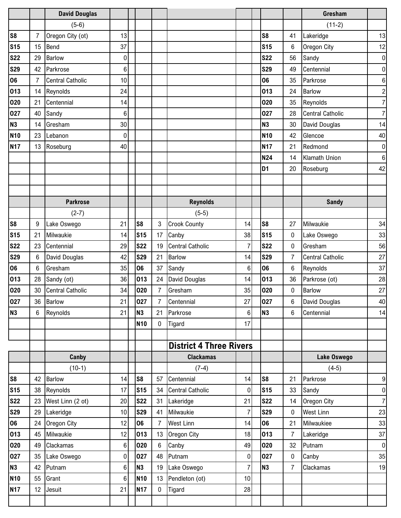|                |    | <b>David Douglas</b>    |                  |                |                |                                |                |                |                | Gresham                 |                  |
|----------------|----|-------------------------|------------------|----------------|----------------|--------------------------------|----------------|----------------|----------------|-------------------------|------------------|
|                |    | $(5-6)$                 |                  |                |                |                                |                |                |                | $(11-2)$                |                  |
| S <sub>8</sub> | 7  | Oregon City (ot)        | 13               |                |                |                                |                | S <sub>8</sub> | 41             | Lakeridge               | 13               |
| <b>S15</b>     | 15 | Bend                    | 37               |                |                |                                |                | <b>S15</b>     | 6              | Oregon City             | 12               |
| <b>S22</b>     | 29 | <b>Barlow</b>           | $\mathbf 0$      |                |                |                                |                | <b>S22</b>     | 56             | Sandy                   | $\pmb{0}$        |
| <b>S29</b>     | 42 | Parkrose                | 6                |                |                |                                |                | <b>S29</b>     | 49             | Centennial              | $\boldsymbol{0}$ |
| 06             | 7  | <b>Central Catholic</b> | 10               |                |                |                                |                | 06             | 35             | Parkrose                | 6                |
| 013            | 14 | Reynolds                | 24               |                |                |                                |                | 013            | 24             | <b>Barlow</b>           | $\overline{c}$   |
| 020            | 21 | Centennial              | 14               |                |                |                                |                | 020            | 35             | Reynolds                | $\overline{7}$   |
| 027            | 40 | Sandy                   | $6\phantom{1}6$  |                |                |                                |                | 027            | 28             | <b>Central Catholic</b> | $\overline{7}$   |
| <b>N3</b>      | 14 | Gresham                 | 30               |                |                |                                |                | <b>N3</b>      | 30             | David Douglas           | 14               |
| <b>N10</b>     | 23 | Lebanon                 | $\mathbf 0$      |                |                |                                |                | <b>N10</b>     | 42             | Glencoe                 | 40               |
| <b>N17</b>     | 13 | Roseburg                | 40               |                |                |                                |                | <b>N17</b>     | 21             | Redmond                 | $\boldsymbol{0}$ |
|                |    |                         |                  |                |                |                                |                | <b>N24</b>     | 14             | <b>Klamath Union</b>    | $\,6$            |
|                |    |                         |                  |                |                |                                |                | D <sub>1</sub> | 20             | Roseburg                | 42               |
|                |    |                         |                  |                |                |                                |                |                |                |                         |                  |
|                |    |                         |                  |                |                |                                |                |                |                |                         |                  |
|                |    | <b>Parkrose</b>         |                  |                |                | <b>Reynolds</b>                |                |                |                | <b>Sandy</b>            |                  |
|                |    | $(2-7)$                 |                  |                |                | $(5-5)$                        |                |                |                |                         |                  |
| S <sub>8</sub> | 9  | Lake Oswego             | 21               | S <sub>8</sub> | 3              | <b>Crook County</b>            | 14             | S <sub>8</sub> | 27             | Milwaukie               | 34               |
| <b>S15</b>     | 21 | Milwaukie               | 14               | <b>S15</b>     | 17             | Canby                          | 38             | <b>S15</b>     | 0              | Lake Oswego             | 33               |
| <b>S22</b>     | 23 | Centennial              | 29               | <b>S22</b>     | 19             | <b>Central Catholic</b>        | $\overline{7}$ | <b>S22</b>     | 0              | Gresham                 | 56               |
| <b>S29</b>     | 6  | David Douglas           | 42               | <b>S29</b>     | 21             | <b>Barlow</b>                  | 14             | <b>S29</b>     | $\overline{7}$ | <b>Central Catholic</b> | 27               |
| 06             | 6  | Gresham                 | 35               | 06             | 37             | Sandy                          | 6              | 06             | 6              | Reynolds                | 37               |
| 013            | 28 | Sandy (ot)              | 36               | 013            | 24             | David Douglas                  | 14             | 013            | 36             | Parkrose (ot)           | 28               |
| 020            | 30 | <b>Central Catholic</b> | 34               | 020            | $\overline{7}$ | Gresham                        | 35             | 020            | 0              | <b>Barlow</b>           | 27               |
| 027            |    | 36 Barlow               | 21               | 027            | $\overline{7}$ | Centennial                     | 27             | 027            | 6              | David Douglas           | 40               |
| N <sub>3</sub> | 6  | Reynolds                | 21               | <b>N3</b>      | 21             | Parkrose                       | $6\phantom{.}$ | N <sub>3</sub> | 6              | Centennial              | 14               |
|                |    |                         |                  | <b>N10</b>     | $\mathbf 0$    | Tigard                         | 17             |                |                |                         |                  |
|                |    |                         |                  |                |                |                                |                |                |                |                         |                  |
|                |    |                         |                  |                |                | <b>District 4 Three Rivers</b> |                |                |                |                         |                  |
|                |    | Canby                   |                  |                |                | <b>Clackamas</b>               |                |                |                | Lake Oswego             |                  |
|                |    | $(10-1)$                |                  |                |                | $(7-4)$                        |                |                |                | $(4-5)$                 |                  |
| S <sub>8</sub> | 42 | <b>Barlow</b>           | 14               | S <sub>8</sub> | 57             | Centennial                     | 14             | S <sub>8</sub> | 21             | Parkrose                | $\boldsymbol{9}$ |
| <b>S15</b>     |    | 38 Reynolds             | 17               | <b>S15</b>     | 34             | <b>Central Catholic</b>        | $\mathbf 0$    | <b>S15</b>     | 33             | Sandy                   | $\pmb{0}$        |
| <b>S22</b>     |    | 23 West Linn (2 ot)     | 20               | <b>S22</b>     | 31             | Lakeridge                      | 21             | <b>S22</b>     | 14             | Oregon City             | $\overline{7}$   |
| <b>S29</b>     |    | 29 Lakeridge            | $10$             | <b>S29</b>     | 41             | Milwaukie                      | $\overline{7}$ | <b>S29</b>     | 0              | <b>West Linn</b>        | 23               |
| 06             |    | 24 Oregon City          | 12               | 06             | $\overline{7}$ | <b>West Linn</b>               | 14             | 06             | 21             | Milwaukiee              | 33               |
| 013            |    | 45 Milwaukie            | 12               | 013            | 13             | Oregon City                    | 18             | 013            | 7              | Lakeridge               | 37               |
| 020            | 49 | Clackamas               | 6                | 020            | 6              | Canby                          | 49             | 020            | 32             | Putnam                  | $\pmb{0}$        |
| 027            |    | 35 Lake Oswego          | $\pmb{0}$        | 027            | 48             | Putnam                         | $\pmb{0}$      | 027            | $\bf{0}$       | Canby                   | 35               |
| <b>N3</b>      |    | 42 Putnam               | $\boldsymbol{6}$ | N3             | 19             | Lake Oswego                    | $\overline{7}$ | N <sub>3</sub> | $\overline{7}$ | Clackamas               | 19               |
| <b>N10</b>     |    | 55 Grant                | $\,6\,$          | <b>N10</b>     | 13             | Pendleton (ot)                 | 10             |                |                |                         |                  |
| <b>N17</b>     | 12 | Jesuit                  | 21               | <b>N17</b>     | $\mathbf 0$    | Tigard                         | 28             |                |                |                         |                  |
|                |    |                         |                  |                |                |                                |                |                |                |                         |                  |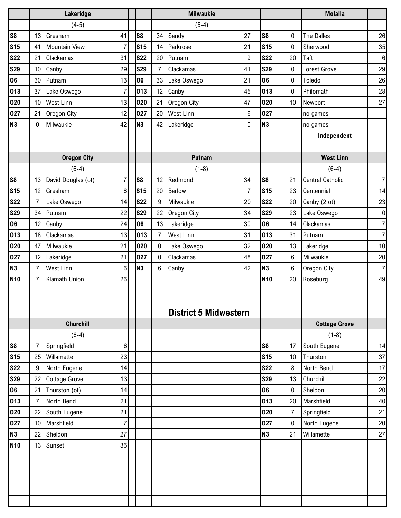|                |                 | Lakeridge            |                |                |                | <b>Milwaukie</b>             |                |                |                | <b>Molalla</b>          |                  |
|----------------|-----------------|----------------------|----------------|----------------|----------------|------------------------------|----------------|----------------|----------------|-------------------------|------------------|
|                |                 | $(4-5)$              |                |                |                | $(5-4)$                      |                |                |                |                         |                  |
| S <sub>8</sub> | 13              | Gresham              | 41             | S <sub>8</sub> | 34             | Sandy                        | 27             | S <sub>8</sub> | 0              | The Dalles              | 26               |
| <b>S15</b>     | 41              | Mountain View        | 7              | <b>S15</b>     | 14             | Parkrose                     | 21             | <b>S15</b>     | 0              | Sherwood                | 35               |
| <b>S22</b>     | 21              | Clackamas            | 31             | <b>S22</b>     | 20             | Putnam                       | 9              | <b>S22</b>     | 20             | Taft                    | $\boldsymbol{6}$ |
| <b>S29</b>     | 10              | Canby                | 29             | <b>S29</b>     | 7              | Clackamas                    | 41             | <b>S29</b>     | 0              | <b>Forest Grove</b>     | 29               |
| 06             | 30              | Putnam               | 13             | 06             | 33             | Lake Oswego                  | 21             | 06             | 0              | Toledo                  | 26               |
| 013            | 37              | Lake Oswego          | $\overline{7}$ | 013            | 12             | Canby                        | 45             | 013            | 0              | Philomath               | 28               |
| 020            | 10              | <b>West Linn</b>     | 13             | 020            | 21             | Oregon City                  | 47             | 020            | 10             | Newport                 | 27               |
| 027            | 21              | Oregon City          | 12             | 027            | 20             | <b>West Linn</b>             | 6              | 027            |                | no games                |                  |
| <b>N3</b>      | 0               | Milwaukie            | 42             | <b>N3</b>      | 42             | Lakeridge                    | 0              | N <sub>3</sub> |                | no games                |                  |
|                |                 |                      |                |                |                |                              |                |                |                | Independent             |                  |
|                |                 |                      |                |                |                |                              |                |                |                |                         |                  |
|                |                 | <b>Oregon City</b>   |                |                |                | <b>Putnam</b>                |                |                |                | <b>West Linn</b>        |                  |
|                |                 | $(6-4)$              |                |                |                | $(1-8)$                      |                |                |                | $(6-4)$                 |                  |
| S <sub>8</sub> | 13              | David Douglas (ot)   | 7              | S <sub>8</sub> | 12             | Redmond                      | 34             | S <sub>8</sub> | 21             | <b>Central Catholic</b> | $\overline{7}$   |
| <b>S15</b>     | 12 <sup>°</sup> | Gresham              | 6              | <b>S15</b>     | 20             | <b>Barlow</b>                | $\overline{7}$ | <b>S15</b>     | 23             | Centennial              | 14               |
| <b>S22</b>     | 7               | Lake Oswego          | 14             | <b>S22</b>     | 9              | Milwaukie                    | 20             | <b>S22</b>     | 20             | Canby (2 ot)            | 23               |
| <b>S29</b>     | 34              | Putnam               | 22             | <b>S29</b>     | 22             | Oregon City                  | 34             | <b>S29</b>     | 23             | Lake Oswego             | $\pmb{0}$        |
| 06             | 12              | Canby                | 24             | 06             | 13             | Lakeridge                    | 30             | 06             | 14             | Clackamas               | $\overline{7}$   |
| 013            | 18              | Clackamas            | 13             | 013            | $\overline{7}$ | <b>West Linn</b>             | 31             | 013            | 31             | Putnam                  | $\overline{7}$   |
| 020            | 47              | Milwaukie            | 21             | 020            | 0              | Lake Oswego                  | 32             | 020            | 13             | Lakeridge               | 10               |
| 027            | 12              | Lakeridge            | 21             | 027            | 0              | Clackamas                    | 48             | 027            | 6              | Milwaukie               | 20               |
| <b>N3</b>      | 7               | <b>West Linn</b>     | $6\phantom{a}$ | <b>N3</b>      | 6              | Canby                        | 42             | N <sub>3</sub> | 6              | Oregon City             | $\overline{7}$   |
| <b>N10</b>     | $\overline{7}$  | Klamath Union        | 26             |                |                |                              |                | <b>N10</b>     | 20             | Roseburg                | 49               |
|                |                 |                      |                |                |                |                              |                |                |                |                         |                  |
|                |                 |                      |                |                |                |                              |                |                |                |                         |                  |
|                |                 |                      |                |                |                | <b>District 5 Midwestern</b> |                |                |                |                         |                  |
|                |                 | <b>Churchill</b>     |                |                |                |                              |                |                |                | <b>Cottage Grove</b>    |                  |
|                |                 | $(6-4)$              |                |                |                |                              |                |                |                | $(1-8)$                 |                  |
| S <sub>8</sub> | $\overline{7}$  | Springfield          | 6              |                |                |                              |                | S <sub>8</sub> | 17             | South Eugene            | 14               |
| <b>S15</b>     | 25              | Willamette           | 23             |                |                |                              |                | <b>S15</b>     | 10             | Thurston                | 37               |
| <b>S22</b>     | 9               | North Eugene         | 14             |                |                |                              |                | <b>S22</b>     | 8              | North Bend              | 17               |
| <b>S29</b>     | 22              | <b>Cottage Grove</b> | 13             |                |                |                              |                | <b>S29</b>     | 13             | Churchill               | 22               |
| 06             | 21              | Thurston (ot)        | 14             |                |                |                              |                | 06             | 0              | Sheldon                 | 20               |
| 013            | 7               | North Bend           | 21             |                |                |                              |                | 013            | 20             | Marshfield              | 40               |
| 020            | 22              | South Eugene         | 21             |                |                |                              |                | 020            | $\overline{7}$ | Springfield             | 21               |
| 027            | 10 <sup>°</sup> | Marshfield           | 7              |                |                |                              |                | 027            | 0              | North Eugene            | 20               |
| <b>N3</b>      | 22              | Sheldon              | 27             |                |                |                              |                | N <sub>3</sub> | 21             | Willamette              | 27               |
| <b>N10</b>     | 13              | Sunset               | 36             |                |                |                              |                |                |                |                         |                  |
|                |                 |                      |                |                |                |                              |                |                |                |                         |                  |
|                |                 |                      |                |                |                |                              |                |                |                |                         |                  |
|                |                 |                      |                |                |                |                              |                |                |                |                         |                  |
|                |                 |                      |                |                |                |                              |                |                |                |                         |                  |
|                |                 |                      |                |                |                |                              |                |                |                |                         |                  |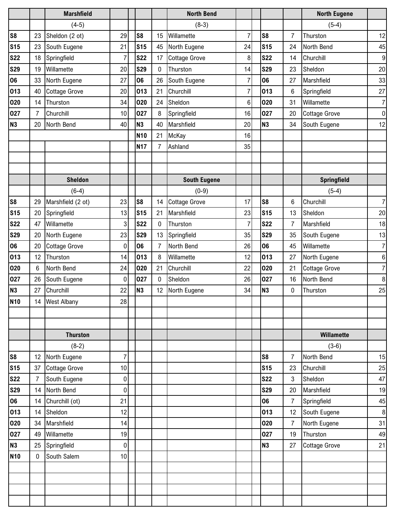|                |                 | <b>Marshfield</b>    |             |                 |                | <b>North Bend</b>    |                |                 |                | <b>North Eugene</b>  |                |
|----------------|-----------------|----------------------|-------------|-----------------|----------------|----------------------|----------------|-----------------|----------------|----------------------|----------------|
|                |                 | $(4-5)$              |             |                 |                | $(8-3)$              |                |                 |                | $(5-4)$              |                |
| S <sub>8</sub> | 23              | Sheldon (2 ot)       | 29          | S <sub>8</sub>  | 15             | Willamette           | $\overline{7}$ | S8              | $\overline{7}$ | Thurston             | 12             |
| <b>S15</b>     | 23              | South Eugene         | 21          | <b>S15</b>      | 45             | North Eugene         | 24             | <b>S15</b>      | 24             | North Bend           | 45             |
| <b>S22</b>     | 18              | Springfield          | 7           | <b>S22</b>      | 17             | <b>Cottage Grove</b> | 8              | <b>S22</b>      | 14             | Churchill            | $9\,$          |
| <b>S29</b>     | 19              | Willamette           | 20          | <b>S29</b>      | 0              | Thurston             | 14             | <b>S29</b>      | 23             | Sheldon              | 20             |
| 06             | 33              | North Eugene         | 27          | 06              | 26             | South Eugene         | 7              | 06              | 27             | Marshfield           | 33             |
| 013            | 40              | <b>Cottage Grove</b> | 20          | 013             | 21             | Churchill            | $\overline{7}$ | 013             | 6              | Springfield          | 27             |
| 020            | 14              | Thurston             | 34          | 020             | 24             | Sheldon              | $\,6$          | 020             | 31             | Willamette           | $\overline{7}$ |
| 027            | 7               | Churchill            | 10          | 027             | 8              | Springfield          | 16             | 027             | 20             | <b>Cottage Grove</b> | $\pmb{0}$      |
| N <sub>3</sub> | 20              | North Bend           | 40          | <b>N3</b>       | 40             | Marshfield           | 20             | N <sub>3</sub>  | 34             | South Eugene         | 12             |
|                |                 |                      |             | N <sub>10</sub> | 21             | McKay                | 16             |                 |                |                      |                |
|                |                 |                      |             | <b>N17</b>      | $\overline{7}$ | Ashland              | 35             |                 |                |                      |                |
|                |                 |                      |             |                 |                |                      |                |                 |                |                      |                |
|                |                 |                      |             |                 |                |                      |                |                 |                |                      |                |
|                |                 | <b>Sheldon</b>       |             |                 |                | <b>South Eugene</b>  |                |                 |                | Springfield          |                |
|                |                 | $(6-4)$              |             |                 |                | $(0-9)$              |                |                 |                | $(5-4)$              |                |
| S <sub>8</sub> | 29              | Marshfield (2 ot)    | 23          | S <sub>8</sub>  | 14             | <b>Cottage Grove</b> | 17             | S <sub>8</sub>  | 6              | Churchill            | $\overline{7}$ |
| <b>S15</b>     | 20              | Springfield          | 13          | <b>S15</b>      | 21             | Marshfield           | 23             | <b>S15</b>      | 13             | Sheldon              | 20             |
| <b>S22</b>     | 47              | Willamette           | 3           | <b>S22</b>      | 0              | Thurston             | $\overline{7}$ | <b>S22</b>      | $\overline{7}$ | Marshfield           | 18             |
| <b>S29</b>     | 20              | North Eugene         | 23          | <b>S29</b>      | 13             | Springfield          | 35             | <b>S29</b>      | 35             | South Eugene         | 13             |
| 06             | 20              | <b>Cottage Grove</b> | 0           | 06              | 7              | North Bend           | 26             | 06              | 45             | Willamette           | $\overline{7}$ |
| 013            | 12              | Thurston             | 14          | 013             | 8              | Willamette           | 12             | 013             | 27             | North Eugene         | 6              |
| 020            | 6               | North Bend           | 24          | 020             | 21             | Churchill            | 22             | 020             | 21             | <b>Cottage Grove</b> | $\overline{7}$ |
| 027            | 26              | South Eugene         | 0           | 027             | 0              | Sheldon              | 26             | 027             | 16             | North Bend           | 8              |
| N <sub>3</sub> | 27              | Churchill            | 22          | N3              | 12             | North Eugene         | 34             | N <sub>3</sub>  | 0              | Thurston             | 25             |
| <b>N10</b>     | 14              | <b>West Albany</b>   | 28          |                 |                |                      |                |                 |                |                      |                |
|                |                 |                      |             |                 |                |                      |                |                 |                |                      |                |
|                |                 |                      |             |                 |                |                      |                |                 |                |                      |                |
|                |                 | <b>Thurston</b>      |             |                 |                |                      |                |                 |                | Willamette           |                |
|                |                 | $(8-2)$              |             |                 |                |                      |                |                 |                | $(3-6)$              |                |
| S <sub>8</sub> | 12 <sup>°</sup> | North Eugene         | 7           |                 |                |                      |                | S <sub>8</sub>  | $\overline{7}$ | North Bend           | 15             |
| <b>S15</b>     | 37              | Cottage Grove        | 10          |                 |                |                      |                | S <sub>15</sub> | 23             | Churchill            | 25             |
| <b>S22</b>     | 7               | South Eugene         | $\mathbf 0$ |                 |                |                      |                | <b>S22</b>      | $\mathbf{3}$   | Sheldon              | 47             |
| <b>S29</b>     | 14              | North Bend           | 0           |                 |                |                      |                | <b>S29</b>      | 20             | Marshfield           | 19             |
| 06             | 14              | Churchill (ot)       | 21          |                 |                |                      |                | 06              | 7              | Springfield          | 45             |
| 013            | 14              | Sheldon              | 12          |                 |                |                      |                | 013             | 12             | South Eugene         | $\,8\,$        |
| 020            | 34              | Marshfield           | 14          |                 |                |                      |                | 020             | $\overline{7}$ | North Eugene         | 31             |
| 027            | 49              | Willamette           | 19          |                 |                |                      |                | 027             | 19             | Thurston             | 49             |
| <b>N3</b>      | 25              | Springfield          | 0           |                 |                |                      |                | N3              | 27             | <b>Cottage Grove</b> | 21             |
| <b>N10</b>     | 0               | South Salem          | 10          |                 |                |                      |                |                 |                |                      |                |
|                |                 |                      |             |                 |                |                      |                |                 |                |                      |                |
|                |                 |                      |             |                 |                |                      |                |                 |                |                      |                |
|                |                 |                      |             |                 |                |                      |                |                 |                |                      |                |
|                |                 |                      |             |                 |                |                      |                |                 |                |                      |                |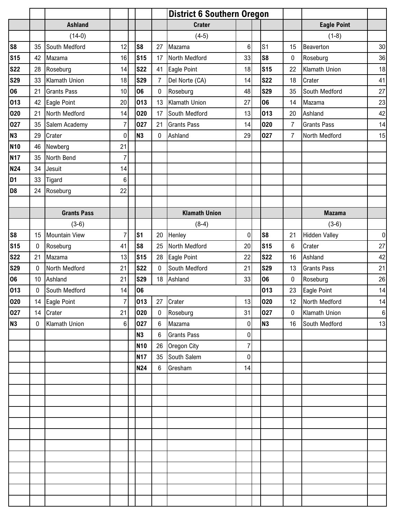|                |              |                      |                |                | <b>District 6 Southern Oregon</b> |                      |                |                |                 |                      |                  |
|----------------|--------------|----------------------|----------------|----------------|-----------------------------------|----------------------|----------------|----------------|-----------------|----------------------|------------------|
|                |              | <b>Ashland</b>       |                |                |                                   | <b>Crater</b>        |                |                |                 | <b>Eagle Point</b>   |                  |
|                |              | $(14-0)$             |                |                |                                   | $(4-5)$              |                |                |                 | $(1-8)$              |                  |
| S <sub>8</sub> | 35           | South Medford        | 12             | S <sub>8</sub> | 27                                | Mazama               | 6              | S <sub>1</sub> | 15              | Beaverton            | 30               |
| <b>S15</b>     | 42           | Mazama               | 16             | <b>S15</b>     | 17                                | North Medford        | 33             | S <sub>8</sub> | $\pmb{0}$       | Roseburg             | 36               |
| <b>S22</b>     | 28           | Roseburg             | 14             | <b>S22</b>     | 41                                | Eagle Point          | 18             | <b>S15</b>     | 22              | Klamath Union        | 18               |
| <b>S29</b>     | 33           | Klamath Union        | 18             | <b>S29</b>     | $\overline{7}$                    | Del Norte (CA)       | 14             | <b>S22</b>     | 18              | Crater               | 41               |
| 06             | 21           | <b>Grants Pass</b>   | 10             | 06             | $\mathbf 0$                       | Roseburg             | 48             | <b>S29</b>     | 35              | South Medford        | 27               |
| 013            | 42           | Eagle Point          | 20             | 013            | 13                                | <b>Klamath Union</b> | 27             | 06             | 14              | Mazama               | 23               |
| 020            | 21           | North Medford        | 14             | 020            | 17                                | South Medford        | 13             | 013            | 20              | Ashland              | 42               |
| 027            | 35           | Salem Academy        | $\overline{7}$ | 027            | 21                                | <b>Grants Pass</b>   | 14             | 020            | $\overline{7}$  | <b>Grants Pass</b>   | 14               |
| <b>N3</b>      | 29           | Crater               | 0              | N <sub>3</sub> | 0                                 | Ashland              | 29             | 027            | $\overline{7}$  | North Medford        | 15               |
| <b>N10</b>     | 46           | Newberg              | 21             |                |                                   |                      |                |                |                 |                      |                  |
| <b>N17</b>     | 35           | North Bend           | $\overline{7}$ |                |                                   |                      |                |                |                 |                      |                  |
| <b>N24</b>     | 34           | Jesuit               | 14             |                |                                   |                      |                |                |                 |                      |                  |
| D <sub>1</sub> | 33           | Tigard               | $\,6$          |                |                                   |                      |                |                |                 |                      |                  |
| D <sub>8</sub> | 24           | Roseburg             | 22             |                |                                   |                      |                |                |                 |                      |                  |
|                |              |                      |                |                |                                   |                      |                |                |                 |                      |                  |
|                |              | <b>Grants Pass</b>   |                |                |                                   | <b>Klamath Union</b> |                |                |                 | <b>Mazama</b>        |                  |
|                |              | $(3-6)$              |                |                |                                   | $(8-4)$              |                |                |                 | $(3-6)$              |                  |
| S <sub>8</sub> | 15           | <b>Mountain View</b> | $\overline{7}$ | S <sub>1</sub> | 20                                | Henley               | 0              | S <sub>8</sub> | 21              | <b>Hidden Valley</b> | $\pmb{0}$        |
| <b>S15</b>     | 0            | Roseburg             | 41             | S <sub>8</sub> | 25                                | North Medford        | 20             | <b>S15</b>     | $\,6\,$         | Crater               | 27               |
| <b>S22</b>     | 21           | Mazama               | 13             | <b>S15</b>     | 28                                | Eagle Point          | 22             | <b>S22</b>     | 16              | Ashland              | 42               |
| <b>S29</b>     | $\mathbf{0}$ | North Medford        | 21             | <b>S22</b>     | $\mathbf 0$                       | South Medford        | 21             | <b>S29</b>     | 13              | <b>Grants Pass</b>   | 21               |
| 06             | 10           | Ashland              | 21             | <b>S29</b>     |                                   | 18 Ashland           | 33             | 06             | $\pmb{0}$       | Roseburg             | 26               |
| 013            | $\mathbf{0}$ | South Medford        | 14             | 06             |                                   |                      |                | 013            | 23              | Eagle Point          | 14               |
| 020            |              | 14 Eagle Point       | $\overline{7}$ | 013            |                                   | 27 Crater            | 13             | 020            | 12 <sup>°</sup> | North Medford        | 14               |
| 027            | 14           | Crater               | 21             | 020            | $\mathbf 0$                       | Roseburg             | 31             | 027            | $\mathbf 0$     | Klamath Union        | $\boldsymbol{6}$ |
| N <sub>3</sub> | $\mathbf 0$  | Klamath Union        | $\,6\,$        | 027            | 6                                 | Mazama               | $\pmb{0}$      | <b>N3</b>      | 16              | South Medford        | 13               |
|                |              |                      |                | <b>N3</b>      | 6                                 | <b>Grants Pass</b>   | 0              |                |                 |                      |                  |
|                |              |                      |                | <b>N10</b>     | 26                                | Oregon City          | $\overline{7}$ |                |                 |                      |                  |
|                |              |                      |                | <b>N17</b>     | 35                                | South Salem          | 0              |                |                 |                      |                  |
|                |              |                      |                | <b>N24</b>     | 6                                 | Gresham              | 14             |                |                 |                      |                  |
|                |              |                      |                |                |                                   |                      |                |                |                 |                      |                  |
|                |              |                      |                |                |                                   |                      |                |                |                 |                      |                  |
|                |              |                      |                |                |                                   |                      |                |                |                 |                      |                  |
|                |              |                      |                |                |                                   |                      |                |                |                 |                      |                  |
|                |              |                      |                |                |                                   |                      |                |                |                 |                      |                  |
|                |              |                      |                |                |                                   |                      |                |                |                 |                      |                  |
|                |              |                      |                |                |                                   |                      |                |                |                 |                      |                  |
|                |              |                      |                |                |                                   |                      |                |                |                 |                      |                  |
|                |              |                      |                |                |                                   |                      |                |                |                 |                      |                  |
|                |              |                      |                |                |                                   |                      |                |                |                 |                      |                  |
|                |              |                      |                |                |                                   |                      |                |                |                 |                      |                  |
|                |              |                      |                |                |                                   |                      |                |                |                 |                      |                  |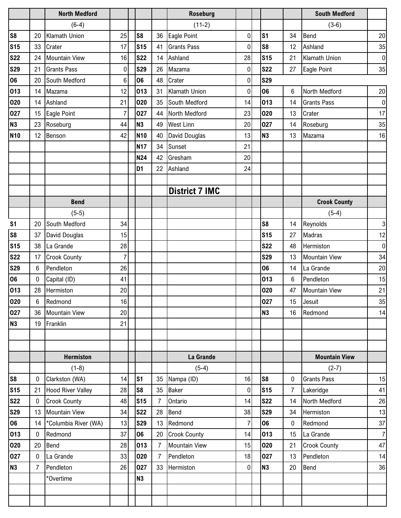|                |              | <b>North Medford</b>     |                |                |    | <b>Roseburg</b>       |                |                |                | <b>South Medford</b> |                |
|----------------|--------------|--------------------------|----------------|----------------|----|-----------------------|----------------|----------------|----------------|----------------------|----------------|
|                |              | $(6-4)$                  |                |                |    | $(11-2)$              |                |                |                | $(3-6)$              |                |
| <b>S8</b>      | 20           | <b>Klamath Union</b>     | 25             | S <sub>8</sub> | 36 | Eagle Point           | $\mathbf 0$    | S <sub>1</sub> | 34             | Bend                 | 20             |
| <b>S15</b>     | 33           | Crater                   | 17             | <b>S15</b>     | 41 | <b>Grants Pass</b>    | $\mathbf 0$    | S <sub>8</sub> | 12             | Ashland              | 35             |
| <b>S22</b>     | 24           | <b>Mountain View</b>     | 16             | <b>S22</b>     | 14 | Ashland               | 28             | <b>S15</b>     | 21             | <b>Klamath Union</b> | $\pmb{0}$      |
| <b>S29</b>     | 21           | <b>Grants Pass</b>       | 0              | <b>S29</b>     | 26 | Mazama                | 0              | <b>S22</b>     | 27             | Eagle Point          | 35             |
| 06             | 20           | South Medford            | 6              | 06             | 48 | Crater                | 0              | <b>S29</b>     |                |                      |                |
| 013            | 14           | Mazama                   | 12             | 013            | 31 | Klamath Union         | 0              | 06             | 6              | North Medford        | 20             |
| 020            | 14           | Ashland                  | 21             | 020            | 35 | South Medford         | 14             | 013            | 14             | <b>Grants Pass</b>   | $\pmb{0}$      |
| 027            | 15           | Eagle Point              | $\overline{7}$ | 027            | 44 | North Medford         | 23             | 020            | 13             | Crater               | 17             |
| N <sub>3</sub> | 23           | Roseburg                 | 44             | <b>N3</b>      | 49 | <b>West Linn</b>      | 20             | 027            | 14             | Roseburg             | 35             |
| <b>N10</b>     | 12           | Benson                   | 42             | <b>N10</b>     | 40 | David Douglas         | 13             | N <sub>3</sub> | 13             | Mazama               | 16             |
|                |              |                          |                | <b>N17</b>     | 34 | Sunset                | 21             |                |                |                      |                |
|                |              |                          |                | N24            | 42 | Gresham               | 20             |                |                |                      |                |
|                |              |                          |                | D <sub>1</sub> | 22 | Ashland               | 24             |                |                |                      |                |
|                |              |                          |                |                |    |                       |                |                |                |                      |                |
|                |              |                          |                |                |    | <b>District 7 IMC</b> |                |                |                |                      |                |
|                |              | <b>Bend</b>              |                |                |    |                       |                |                |                | <b>Crook County</b>  |                |
|                |              | $(5-5)$                  |                |                |    |                       |                |                |                | $(5-4)$              |                |
| S <sub>1</sub> | 20           | South Medford            | 34             |                |    |                       |                | S <sub>8</sub> | 14             | Reynolds             | 3              |
| S8             | 37           | David Douglas            | 15             |                |    |                       |                | <b>S15</b>     | 27             | <b>Madras</b>        | 12             |
| <b>S15</b>     | 38           | La Grande                | 28             |                |    |                       |                | <b>S22</b>     | 48             | Hermiston            | $\pmb{0}$      |
| <b>S22</b>     | 17           | <b>Crook County</b>      | 7              |                |    |                       |                | <b>S29</b>     | 13             | <b>Mountain View</b> | 34             |
| <b>S29</b>     | 6            | Pendleton                | 26             |                |    |                       |                | 06             | 14             | La Grande            | 20             |
| 06             | $\mathbf{0}$ | Capital (ID)             | 41             |                |    |                       |                | 013            | 6              | Pendleton            | 15             |
| 013            | 28           | Hermiston                | 20             |                |    |                       |                | 020            | 47             | <b>Mountain View</b> | 21             |
| 020            | 6            | Redmond                  | 16             |                |    |                       |                | 027            | 15             | Jesuit               | 35             |
| 027            | 36           | <b>Mountain View</b>     | 20             |                |    |                       |                | <b>N3</b>      | 16             | Redmond              | 14             |
| N <sub>3</sub> | 19           | Franklin                 | 21             |                |    |                       |                |                |                |                      |                |
|                |              |                          |                |                |    |                       |                |                |                |                      |                |
|                |              |                          |                |                |    |                       |                |                |                |                      |                |
|                |              | <b>Hermiston</b>         |                |                |    | La Grande             |                |                |                | <b>Mountain View</b> |                |
|                |              | $(1-8)$                  |                |                |    | $(5-4)$               |                |                |                | $(2-7)$              |                |
| S <sub>8</sub> | 0            | Clarkston (WA)           | 14             | s <sub>1</sub> | 35 | Nampa (ID)            | 16             | S <sub>8</sub> | $\mathbf 0$    | <b>Grants Pass</b>   | 15             |
| <b>S15</b>     | 21           | <b>Hood River Valley</b> | 28             | S <sub>8</sub> | 35 | <b>Baker</b>          | 0              | <b>S15</b>     | $\overline{7}$ | Lakeridge            | 41             |
| <b>S22</b>     | $\mathbf{0}$ | <b>Crook County</b>      | 48             | <b>S15</b>     |    | Ontario               | 14             | <b>S22</b>     | 14             | North Medford        | 26             |
| <b>S29</b>     | 13           | <b>Mountain View</b>     | 34             | <b>S22</b>     | 28 | Bend                  | 38             | <b>S29</b>     | 34             | Hermiston            | 13             |
| 06             | 14           | *Columbia River (WA)     | 13             | <b>S29</b>     | 13 | Redmond               | $\overline{7}$ | 06             | $\pmb{0}$      | Redmond              | 37             |
| 013            | 0            | Redmond                  | 37             | 06             | 20 | <b>Crook County</b>   | 14             | 013            | 15             | La Grande            | $\overline{7}$ |
| 020            | 20           | <b>Bend</b>              | 28             | 013            | 7  | <b>Mountain View</b>  | 15             | 020            | 21             | <b>Crook County</b>  | 47             |
| 027            | 0            | La Grande                | 33             | 020            | 7  | Pendleton             | 18             | 027            | 13             | Pendleton            | 14             |
| N3             | 7            | Pendleton                | 26             | 027            | 33 | Hermiston             | 0              | N <sub>3</sub> | 20             | <b>Bend</b>          | 36             |
|                |              | *Overtime                |                | <b>N3</b>      |    |                       |                |                |                |                      |                |
|                |              |                          |                |                |    |                       |                |                |                |                      |                |
|                |              |                          |                |                |    |                       |                |                |                |                      |                |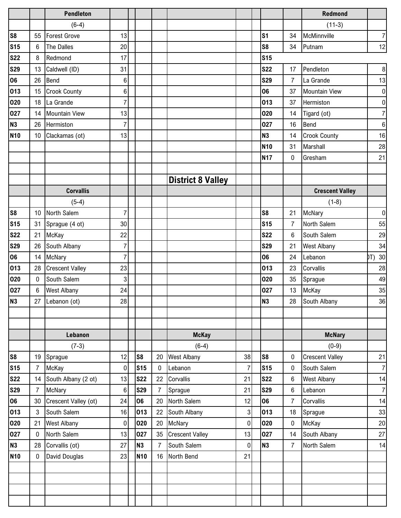|            |                 | <b>Pendleton</b>       |                |                |                |                          |                |                |                | <b>Redmond</b>         |                  |
|------------|-----------------|------------------------|----------------|----------------|----------------|--------------------------|----------------|----------------|----------------|------------------------|------------------|
|            |                 | $(6-4)$                |                |                |                |                          |                |                |                | $(11-3)$               |                  |
| S8         | 55              | <b>Forest Grove</b>    | 13             |                |                |                          |                | S <sub>1</sub> | 34             | McMinnville            | $\overline{7}$   |
| <b>S15</b> | 6               | The Dalles             | 20             |                |                |                          |                | S <sub>8</sub> | 34             | Putnam                 | 12               |
| <b>S22</b> | 8               | Redmond                | 17             |                |                |                          |                | <b>S15</b>     |                |                        |                  |
| <b>S29</b> | 13              | Caldwell (ID)          | 31             |                |                |                          |                | <b>S22</b>     | 17             | Pendleton              | $\bf 8$          |
| 06         | 26              | Bend                   | $6\phantom{1}$ |                |                |                          |                | <b>S29</b>     | $\overline{7}$ | La Grande              | 13               |
| 013        | 15              | <b>Crook County</b>    | 6              |                |                |                          |                | 06             | 37             | <b>Mountain View</b>   | $\pmb{0}$        |
| 020        | 18              | La Grande              | 7              |                |                |                          |                | 013            | 37             | Hermiston              | $\pmb{0}$        |
| 027        | 14              | <b>Mountain View</b>   | 13             |                |                |                          |                | 020            | 14             | Tigard (ot)            | $\overline{7}$   |
| <b>N3</b>  | 26              | Hermiston              | 7              |                |                |                          |                | 027            | 16             | <b>Bend</b>            | $\,6\,$          |
| <b>N10</b> | 10              | Clackamas (ot)         | 13             |                |                |                          |                | N <sub>3</sub> | 14             | <b>Crook County</b>    | 16               |
|            |                 |                        |                |                |                |                          |                | <b>N10</b>     | 31             | Marshall               | 28               |
|            |                 |                        |                |                |                |                          |                | <b>N17</b>     | 0              | Gresham                | 21               |
|            |                 |                        |                |                |                |                          |                |                |                |                        |                  |
|            |                 |                        |                |                |                | <b>District 8 Valley</b> |                |                |                |                        |                  |
|            |                 | <b>Corvallis</b>       |                |                |                |                          |                |                |                | <b>Crescent Valley</b> |                  |
|            |                 | $(5-4)$                |                |                |                |                          |                |                |                | $(1-8)$                |                  |
| S8         | 10 <sup>°</sup> | North Salem            | $\overline{7}$ |                |                |                          |                | S8             | 21             | McNary                 | $\pmb{0}$        |
| <b>S15</b> | 31              | Sprague (4 ot)         | 30             |                |                |                          |                | <b>S15</b>     | $\overline{7}$ | North Salem            | 55               |
| <b>S22</b> | 21              | McKay                  | 22             |                |                |                          |                | <b>S22</b>     | 6              | South Salem            | 29               |
| <b>S29</b> | 26              | South Albany           | $\overline{7}$ |                |                |                          |                | <b>S29</b>     | 21             | <b>West Albany</b>     | 34               |
| 06         | 14              | <b>McNary</b>          | 7              |                |                |                          |                | 06             | 24             | Lebanon                | DT) 30           |
| 013        | 28              | <b>Crescent Valley</b> | 23             |                |                |                          |                | 013            | 23             | Corvallis              | 28               |
| 020        | 0               | South Salem            | 3              |                |                |                          |                | 020            | 35             | Sprague                | 49               |
| 027        | 6               | <b>West Albany</b>     | 24             |                |                |                          |                | 027            | 13             | McKay                  | 35               |
| <b>N3</b>  | 27              | Lebanon (ot)           | 28             |                |                |                          |                | N <sub>3</sub> | 28             | South Albany           | $36\,$           |
|            |                 |                        |                |                |                |                          |                |                |                |                        |                  |
|            |                 |                        |                |                |                |                          |                |                |                |                        |                  |
|            |                 | Lebanon                |                |                |                | <b>McKay</b>             |                |                |                | <b>McNary</b>          |                  |
|            |                 | $(7-3)$                |                |                |                | $(6-4)$                  |                |                |                | $(0-9)$                |                  |
| S8         | 19              | Sprague                | 12             | S <sub>8</sub> | 20             | <b>West Albany</b>       | 38             | S <sub>8</sub> | 0              | <b>Crescent Valley</b> | 21               |
| <b>S15</b> | 7               | McKay                  | 0              | <b>S15</b>     | $\pmb{0}$      | Lebanon                  | $\overline{7}$ | <b>S15</b>     | 0              | South Salem            | $\boldsymbol{7}$ |
| <b>S22</b> | 14              | South Albany (2 ot)    | 13             | <b>S22</b>     | 22             | Corvallis                | 21             | <b>S22</b>     | 6              | <b>West Albany</b>     | 14               |
| <b>S29</b> | $\overline{7}$  | <b>McNary</b>          | 6              | <b>S29</b>     | $\overline{7}$ | Sprague                  | 21             | <b>S29</b>     | 6              | Lebanon                | $\overline{7}$   |
| <b>06</b>  | 30              | Crescent Valley (ot)   | 24             | 06             | 20             | North Salem              | 12             | 06             | $\overline{7}$ | Corvallis              | 14               |
| 013        | 3               | South Salem            | 16             | 013            | 22             | South Albany             | $\overline{3}$ | 013            | 18             | Sprague                | 33               |
| 020        | 21              | <b>West Albany</b>     | 0              | 020            | 20             | McNary                   | $\overline{0}$ | 020            | $\bf{0}$       | McKay                  | 20               |
| 027        | $\mathbf{0}$    | North Salem            | 13             | 027            | 35             | <b>Crescent Valley</b>   | 13             | 027            | 14             | South Albany           | 27               |
| <b>N3</b>  | 28              | Corvallis (ot)         | 27             | N <sub>3</sub> | $\overline{7}$ | South Salem              | $\overline{0}$ | N <sub>3</sub> | 7              | North Salem            | 14               |
| <b>N10</b> | 0               | David Douglas          | 23             | <b>N10</b>     | 16             | North Bend               | 21             |                |                |                        |                  |
|            |                 |                        |                |                |                |                          |                |                |                |                        |                  |
|            |                 |                        |                |                |                |                          |                |                |                |                        |                  |
|            |                 |                        |                |                |                |                          |                |                |                |                        |                  |
|            |                 |                        |                |                |                |                          |                |                |                |                        |                  |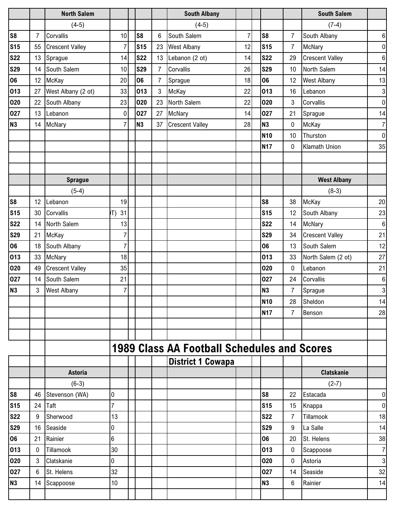|                |                 | <b>North Salem</b>     |                 |                |    | <b>South Albany</b>                                |                |                |                | <b>South Salem</b>     |                  |
|----------------|-----------------|------------------------|-----------------|----------------|----|----------------------------------------------------|----------------|----------------|----------------|------------------------|------------------|
|                |                 | $(4-5)$                |                 |                |    | $(4-5)$                                            |                |                |                | $(7-4)$                |                  |
| S <sub>8</sub> | 7               | Corvallis              | 10              | S <sub>8</sub> | 6  | South Salem                                        | $\overline{7}$ | S <sub>8</sub> | 7              | South Albany           | 6                |
| <b>S15</b>     | 55              | <b>Crescent Valley</b> | $\overline{7}$  | <b>S15</b>     | 23 | <b>West Albany</b>                                 | 12             | <b>S15</b>     | $\overline{7}$ | McNary                 | $\pmb{0}$        |
| <b>S22</b>     | 13              | Sprague                | 14              | <b>S22</b>     | 13 | Lebanon (2 ot)                                     | 14             | <b>S22</b>     | 29             | <b>Crescent Valley</b> | $\,6\,$          |
| <b>S29</b>     | 14              | South Salem            | 10              | <b>S29</b>     | 7  | Corvallis                                          | 26             | <b>S29</b>     | 10             | North Salem            | 14               |
| 06             | 12 <sup>2</sup> | McKay                  | 20              | 06             | 7  | Sprague                                            | 18             | 06             | 12             | <b>West Albany</b>     | 13               |
| 013            | 27              | West Albany (2 ot)     | 33              | 013            | 3  | McKay                                              | 22             | 013            | 16             | Lebanon                | $\mathbf{3}$     |
| 020            | 22              | South Albany           | 23              | 020            | 23 | North Salem                                        | 22             | 020            | 3              | Corvallis              | $\pmb{0}$        |
| 027            | 13              | Lebanon                | $\pmb{0}$       | 027            | 27 | McNary                                             | 14             | 027            | 21             | Sprague                | 14               |
| N <sub>3</sub> | 14              | <b>McNary</b>          | 7               | N <sub>3</sub> | 37 | <b>Crescent Valley</b>                             | 28             | <b>N3</b>      | 0              | McKay                  | $\boldsymbol{7}$ |
|                |                 |                        |                 |                |    |                                                    |                | <b>N10</b>     | 10             | Thurston               | $\pmb{0}$        |
|                |                 |                        |                 |                |    |                                                    |                | <b>N17</b>     | 0              | <b>Klamath Union</b>   | 35               |
|                |                 |                        |                 |                |    |                                                    |                |                |                |                        |                  |
|                |                 |                        |                 |                |    |                                                    |                |                |                |                        |                  |
|                |                 | <b>Sprague</b>         |                 |                |    |                                                    |                |                |                | <b>West Albany</b>     |                  |
|                |                 | $(5-4)$                |                 |                |    |                                                    |                |                |                | $(8-3)$                |                  |
| S <sub>8</sub> | 12              | Lebanon                | 19              |                |    |                                                    |                | S <sub>8</sub> | 38             | McKay                  | 20               |
| <b>S15</b>     | 30              | Corvallis              | 31<br>T)        |                |    |                                                    |                | <b>S15</b>     | 12             | South Albany           | 23               |
| <b>S22</b>     | 14              | North Salem            | 13              |                |    |                                                    |                | <b>S22</b>     | 14             | <b>McNary</b>          | $\boldsymbol{6}$ |
| <b>S29</b>     | 21              | McKay                  | $\overline{7}$  |                |    |                                                    |                | <b>S29</b>     | 34             | <b>Crescent Valley</b> | 21               |
| 06             | 18              | South Albany           | $\overline{7}$  |                |    |                                                    |                | 06             | 13             | South Salem            | 12               |
| 013            | 33              | <b>McNary</b>          | 18              |                |    |                                                    |                | 013            | 33             | North Salem (2 ot)     | 27               |
| 020            | 49              | <b>Crescent Valley</b> | 35              |                |    |                                                    |                | 020            | $\pmb{0}$      | Lebanon                | 21               |
| 027            | 14              | South Salem            | 21              |                |    |                                                    |                | 027            | 24             | Corvallis              | $\,6\,$          |
| <b>N3</b>      | 3               | <b>West Albany</b>     | $\overline{7}$  |                |    |                                                    |                | <b>N3</b>      | $\overline{7}$ | Sprague                | $\sqrt{3}$       |
|                |                 |                        |                 |                |    |                                                    |                | <b>N10</b>     | 28             | Sheldon                | 14               |
|                |                 |                        |                 |                |    |                                                    |                | <b>N17</b>     | $\overline{7}$ | Benson                 | 28               |
|                |                 |                        |                 |                |    |                                                    |                |                |                |                        |                  |
|                |                 |                        |                 |                |    |                                                    |                |                |                |                        |                  |
|                |                 |                        |                 |                |    | <b>1989 Class AA Football Schedules and Scores</b> |                |                |                |                        |                  |
|                |                 |                        |                 |                |    | <b>District 1 Cowapa</b>                           |                |                |                |                        |                  |
|                |                 | <b>Astoria</b>         |                 |                |    |                                                    |                |                |                | <b>Clatskanie</b>      |                  |
|                |                 | $(6-3)$                |                 |                |    |                                                    |                |                |                | $(2-7)$                |                  |
| S <sub>8</sub> |                 | 46 Stevenson (WA)      | $\pmb{0}$       |                |    |                                                    |                | S <sub>8</sub> | 22             | Estacada               | $\pmb{0}$        |
| <b>S15</b>     | 24              | Taft                   | $\overline{7}$  |                |    |                                                    |                | <b>S15</b>     | 15             | Knappa                 | $\pmb{0}$        |
| <b>S22</b>     | 9               | Sherwood               | 13              |                |    |                                                    |                | <b>S22</b>     | 7              | Tillamook              | 18               |
| <b>S29</b>     | 16              | Seaside                | 0               |                |    |                                                    |                | <b>S29</b>     | 9              | La Salle               | 14               |
| 06             | 21              | Rainier                | $6\phantom{.}6$ |                |    |                                                    |                | 06             | 20             | St. Helens             | 38               |
| 013            | 0               | Tillamook              | 30              |                |    |                                                    |                | 013            | $\mathbf 0$    | Scappoose              | $\overline{7}$   |
| 020            | 3               | Clatskanie             | 0               |                |    |                                                    |                | 020            | $\pmb{0}$      | Astoria                | $\mathbf{3}$     |
| 027            | 6               | St. Helens             | 32              |                |    |                                                    |                | 027            | 14             | Seaside                | 32               |
| N <sub>3</sub> | 14              | Scappoose              | 10              |                |    |                                                    |                | <b>N3</b>      | 6              | Rainier                | 14               |
|                |                 |                        |                 |                |    |                                                    |                |                |                |                        |                  |
|                |                 |                        |                 |                |    |                                                    |                |                |                |                        |                  |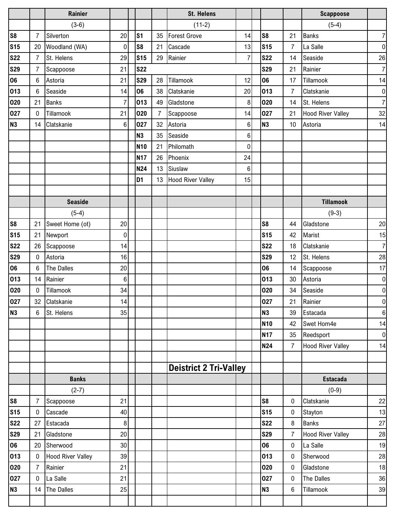|                |                | <b>Rainier</b>           |                |                |                | <b>St. Helens</b>             |                 |                |                | <b>Scappoose</b>         |                  |
|----------------|----------------|--------------------------|----------------|----------------|----------------|-------------------------------|-----------------|----------------|----------------|--------------------------|------------------|
|                |                | $(3-6)$                  |                |                |                | $(11-2)$                      |                 |                |                | $(5-4)$                  |                  |
| s <sub>8</sub> | 7              | Silverton                | 20             | S <sub>1</sub> | 35             | <b>Forest Grove</b>           | 14              | S <sub>8</sub> | 21             | <b>Banks</b>             | $\overline{7}$   |
| <b>S15</b>     | 20             | Woodland (WA)            | 0              | S <sub>8</sub> | 21             | Cascade                       | 13              | <b>S15</b>     | $\overline{7}$ | La Salle                 | $\pmb{0}$        |
| <b>S22</b>     | 7              | St. Helens               | 29             | <b>S15</b>     | 29             | Rainier                       | $\overline{7}$  | <b>S22</b>     | 14             | Seaside                  | 26               |
| <b>S29</b>     | 7              | Scappoose                | 21             | <b>S22</b>     |                |                               |                 | <b>S29</b>     | 21             | Rainier                  | $\overline{7}$   |
| 06             | 6              | Astoria                  | 21             | <b>S29</b>     | 28             | Tillamook                     | 12              | 06             | 17             | Tillamook                | 14               |
| 013            | 6              | Seaside                  | 14             | 06             | 38             | Clatskanie                    | 20              | 013            | $\overline{7}$ | Clatskanie               | $\pmb{0}$        |
| 020            | 21             | <b>Banks</b>             | $\overline{7}$ | 013            | 49             | Gladstone                     | $\,8\,$         | 020            | 14             | St. Helens               | $\overline{7}$   |
| 027            | $\mathbf{0}$   | Tillamook                | 21             | 020            | $\overline{7}$ | Scappoose                     | 14              | 027            | 21             | <b>Hood River Valley</b> | 32               |
| N <sub>3</sub> | 14             | Clatskanie               | 6              | 027            | 32             | Astoria                       | 6               | N <sub>3</sub> | 10             | Astoria                  | 14               |
|                |                |                          |                | <b>N3</b>      | 35             | Seaside                       | 6               |                |                |                          |                  |
|                |                |                          |                | <b>N10</b>     | 21             | Philomath                     | $\mathbf 0$     |                |                |                          |                  |
|                |                |                          |                | <b>N17</b>     | 26             | Phoenix                       | 24              |                |                |                          |                  |
|                |                |                          |                | <b>N24</b>     | 13             | Siuslaw                       | $6\phantom{1}6$ |                |                |                          |                  |
|                |                |                          |                | D <sub>1</sub> | 13             | <b>Hood River Valley</b>      | 15              |                |                |                          |                  |
|                |                |                          |                |                |                |                               |                 |                |                |                          |                  |
|                |                | <b>Seaside</b>           |                |                |                |                               |                 |                |                | <b>Tillamook</b>         |                  |
|                |                | $(5-4)$                  |                |                |                |                               |                 |                |                | $(9-3)$                  |                  |
| S8             | 21             | Sweet Home (ot)          | 20             |                |                |                               |                 | S <sub>8</sub> | 44             | Gladstone                | 20               |
| <b>S15</b>     | 21             | Newport                  | 0              |                |                |                               |                 | <b>S15</b>     | 42             | Marist                   | 15               |
| <b>S22</b>     | 26             | Scappoose                | 14             |                |                |                               |                 | <b>S22</b>     | 18             | Clatskanie               | $\overline{7}$   |
| <b>S29</b>     | $\mathbf{0}$   | Astoria                  | 16             |                |                |                               |                 | <b>S29</b>     | 12             | St. Helens               | 28               |
| 06             | 6              | The Dalles               | 20             |                |                |                               |                 | 06             | 14             | Scappoose                | 17               |
| 013            | 14             | Rainier                  | $\,6$          |                |                |                               |                 | 013            | 30             | Astoria                  | $\pmb{0}$        |
| 020            | $\Omega$       | Tillamook                | 34             |                |                |                               |                 | 020            | 34             | Seaside                  | $\boldsymbol{0}$ |
| 027            | 32             | Clatskanie               | 14             |                |                |                               |                 | 027            | 21             | Rainier                  | $\boldsymbol{0}$ |
| N3             | 6              | St. Helens               | 35             |                |                |                               |                 | <b>N3</b>      | 39             | Estacada                 | $\boldsymbol{6}$ |
|                |                |                          |                |                |                |                               |                 | <b>N10</b>     | 42             | Swet Hom4e               | 14               |
|                |                |                          |                |                |                |                               |                 | <b>N17</b>     | 35             | Reedsport                | $\mathbf 0$      |
|                |                |                          |                |                |                |                               |                 | <b>N24</b>     | $\overline{7}$ | <b>Hood River Valley</b> | 14               |
|                |                |                          |                |                |                |                               |                 |                |                |                          |                  |
|                |                |                          |                |                |                | <b>Deistrict 2 Tri-Valley</b> |                 |                |                |                          |                  |
|                |                | <b>Banks</b>             |                |                |                |                               |                 |                |                | <b>Estacada</b>          |                  |
|                |                | $(2-7)$                  |                |                |                |                               |                 |                |                | $(0-9)$                  |                  |
| <b>S8</b>      | $\overline{7}$ | Scappoose                | 21             |                |                |                               |                 | S8             | $\mathbf 0$    | Clatskanie               | 22               |
| <b>S15</b>     | 0              | Cascade                  | 40             |                |                |                               |                 | <b>S15</b>     | $\mathbf 0$    | Stayton                  | 13               |
| <b>S22</b>     | 27             | Estacada                 | 8              |                |                |                               |                 | <b>S22</b>     | 8              | Banks                    | 27               |
| <b>S29</b>     | 21             | Gladstone                | 20             |                |                |                               |                 | <b>S29</b>     | $\overline{7}$ | <b>Hood River Valley</b> | 28               |
| 06             | 20             | Sherwood                 | 30             |                |                |                               |                 | 06             | $\pmb{0}$      | La Salle                 | 19               |
| 013            | $\mathbf{0}$   | <b>Hood River Valley</b> | 39             |                |                |                               |                 | 013            | $\pmb{0}$      | Sherwood                 | 28               |
| 020            | $\overline{7}$ | Rainier                  | 21             |                |                |                               |                 | 020            | $\pmb{0}$      | Gladstone                | 18               |
| 027            | $\mathbf{0}$   | La Salle                 | 21             |                |                |                               |                 | 027            | $\mathbf 0$    | The Dalles               | 36               |
| N3             | 14             | The Dalles               | 25             |                |                |                               |                 | N3             | 6              | Tillamook                | 39               |
|                |                |                          |                |                |                |                               |                 |                |                |                          |                  |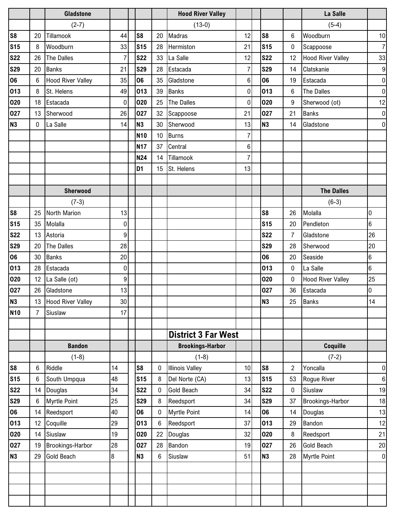|                |                 | <b>Gladstone</b>         |           |                 |    | <b>Hood River Valley</b>   |                 |                |                | La Salle                 |                  |
|----------------|-----------------|--------------------------|-----------|-----------------|----|----------------------------|-----------------|----------------|----------------|--------------------------|------------------|
|                |                 | $(2-7)$                  |           |                 |    | $(13-0)$                   |                 |                |                | $(5-4)$                  |                  |
| S <sub>8</sub> | 20              | Tillamook                | 44        | S <sub>8</sub>  | 20 | Madras                     | 12              | S <sub>8</sub> | $6\phantom{1}$ | Woodburn                 | 10               |
| <b>S15</b>     | 8               | Woodburn                 | 33        | <b>S15</b>      | 28 | Hermiston                  | 21              | <b>S15</b>     | $\pmb{0}$      | Scappoose                | $\overline{7}$   |
| <b>S22</b>     | 26              | The Dalles               | 7         | <b>S22</b>      | 33 | La Salle                   | 12              | <b>S22</b>     | 12             | <b>Hood River Valley</b> | 33               |
| <b>S29</b>     | 20              | <b>Banks</b>             | 21        | <b>S29</b>      | 28 | Estacada                   | 7               | <b>S29</b>     | 14             | Clatskanie               | 9                |
| 06             | 6               | <b>Hood River Valley</b> | 35        | 06              | 35 | Gladstone                  | 6               | 06             | 19             | Estacada                 | $\mathbf 0$      |
| 013            | 8               | St. Helens               | 49        | 013             | 39 | Banks                      | $\overline{0}$  | 013            | $6\phantom{1}$ | The Dalles               | $\boldsymbol{0}$ |
| 020            | 18              | Estacada                 | $\pmb{0}$ | 020             | 25 | The Dalles                 | $\pmb{0}$       | 020            | 9              | Sherwood (ot)            | 12               |
| 027            | 13              | Sherwood                 | 26        | 027             | 32 | Scappoose                  | 21              | 027            | 21             | <b>Banks</b>             | $\mathbf 0$      |
| <b>N3</b>      | 0               | La Salle                 | 14        | <b>N3</b>       | 30 | Sherwood                   | 13              | <b>N3</b>      | 14             | Gladstone                | $\mathbf 0$      |
|                |                 |                          |           | N <sub>10</sub> | 10 | <b>Burns</b>               | 7               |                |                |                          |                  |
|                |                 |                          |           | <b>N17</b>      | 37 | Central                    | 6               |                |                |                          |                  |
|                |                 |                          |           | <b>N24</b>      | 14 | Tillamook                  | $\overline{7}$  |                |                |                          |                  |
|                |                 |                          |           | D <sub>1</sub>  | 15 | St. Helens                 | 13              |                |                |                          |                  |
|                |                 |                          |           |                 |    |                            |                 |                |                |                          |                  |
|                |                 | <b>Sherwood</b>          |           |                 |    |                            |                 |                |                | <b>The Dalles</b>        |                  |
|                |                 | $(7-3)$                  |           |                 |    |                            |                 |                |                | $(6-3)$                  |                  |
| S <sub>8</sub> | 25              | North Marion             | 13        |                 |    |                            |                 | S <sub>8</sub> | 26             | Molalla                  | 0                |
| <b>S15</b>     | 35              | Molalla                  | 0         |                 |    |                            |                 | <b>S15</b>     | 20             | Pendleton                | $6\phantom{.}6$  |
| <b>S22</b>     | 13              | Astoria                  | 9         |                 |    |                            |                 | <b>S22</b>     | $\overline{7}$ | Gladstone                | 26               |
| <b>S29</b>     | 20              | The Dalles               | 28        |                 |    |                            |                 | <b>S29</b>     | 28             | Sherwood                 | 20               |
| 06             | 30              | <b>Banks</b>             | 20        |                 |    |                            |                 | 06             | 20             | Seaside                  | $6\phantom{.}6$  |
| 013            | 28              | Estacada                 | 0         |                 |    |                            |                 | 013            | $\mathbf 0$    | La Salle                 | $6\overline{6}$  |
| 020            | 12 <sup>2</sup> | La Salle (ot)            | 9         |                 |    |                            |                 | 020            | $\mathbf 0$    | <b>Hood River Valley</b> | 25               |
| 027            |                 | 26 Gladstone             | 13        |                 |    |                            |                 | 027            | 36             | Estacada                 | 0                |
| <b>N3</b>      |                 | 13 Hood River Valley     | 30        |                 |    |                            |                 | <b>N3</b>      | 25             | <b>Banks</b>             | 14               |
| <b>N10</b>     | 7               | Siuslaw                  | 17        |                 |    |                            |                 |                |                |                          |                  |
|                |                 |                          |           |                 |    |                            |                 |                |                |                          |                  |
|                |                 |                          |           |                 |    | <b>District 3 Far West</b> |                 |                |                |                          |                  |
|                |                 | <b>Bandon</b>            |           |                 |    | <b>Brookings-Harbor</b>    |                 |                |                | Coquille                 |                  |
|                |                 | $(1-8)$                  |           |                 |    | $(1-8)$                    |                 |                |                | $(7-2)$                  |                  |
| S <sub>8</sub> | 6               | Riddle                   | 14        | S8              | 0  | <b>Illinois Valley</b>     | 10 <sup>1</sup> | S <sub>8</sub> | $\overline{2}$ | Yoncalla                 | $\boldsymbol{0}$ |
| <b>S15</b>     | 6               | South Umpqua             | 48        | <b>S15</b>      | 8  | Del Norte (CA)             | 13              | <b>S15</b>     | 53             | Rogue River              | 6                |
| <b>S22</b>     | 14              | Douglas                  | 34        | <b>S22</b>      | 0  | <b>Gold Beach</b>          | 34              | <b>S22</b>     | $\pmb{0}$      | Siuslaw                  | 19               |
| <b>S29</b>     | 6               | <b>Myrtle Point</b>      | 25        | <b>S29</b>      | 8  | Reedsport                  | 34              | <b>S29</b>     | 37             | Brookings-Harbor         | 18               |
| 06             |                 | 14 Reedsport             | 40        | 06              | 0  | <b>Myrtle Point</b>        | 14              | 06             | 14             | Douglas                  | 13               |
| 013            | 12              | Coquille                 | 29        | 013             | 6  | Reedsport                  | 37              | 013            | 29             | Bandon                   | 12               |
| 020            |                 | 14 Siuslaw               | 19        | 020             | 22 | Douglas                    | 32              | 020            | 8              | Reedsport                | 21               |
| 027            | 19              | Brookings-Harbor         | 28        | 027             | 28 | Bandon                     | 19              | 027            | 26             | <b>Gold Beach</b>        | 20               |
| <b>N3</b>      | 29              | <b>Gold Beach</b>        | 8         | <b>N3</b>       | 6  | Siuslaw                    | 51              | N3             | 28             | <b>Myrtle Point</b>      | $\boldsymbol{0}$ |
|                |                 |                          |           |                 |    |                            |                 |                |                |                          |                  |
|                |                 |                          |           |                 |    |                            |                 |                |                |                          |                  |
|                |                 |                          |           |                 |    |                            |                 |                |                |                          |                  |
|                |                 |                          |           |                 |    |                            |                 |                |                |                          |                  |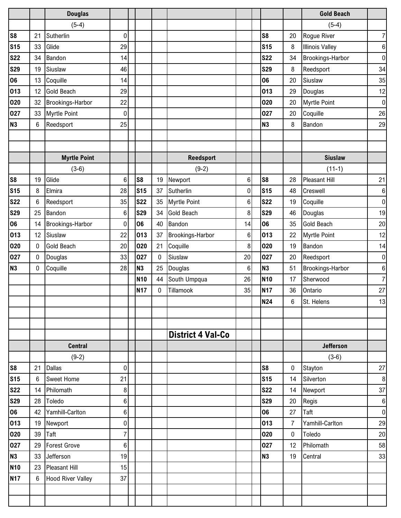|                |    | <b>Douglas</b>           |                |                |    |                          |         |                |                | <b>Gold Beach</b>      |                  |
|----------------|----|--------------------------|----------------|----------------|----|--------------------------|---------|----------------|----------------|------------------------|------------------|
|                |    | $(5-4)$                  |                |                |    |                          |         |                |                | $(5-4)$                |                  |
| S <sub>8</sub> | 21 | Sutherlin                | $\pmb{0}$      |                |    |                          |         | S <sub>8</sub> | 20             | Rogue River            | $\boldsymbol{7}$ |
| <b>S15</b>     | 33 | Glide                    | 29             |                |    |                          |         | <b>S15</b>     | 8              | <b>Illinois Valley</b> | $\,6\,$          |
| <b>S22</b>     | 34 | Bandon                   | 14             |                |    |                          |         | <b>S22</b>     | 34             | Brookings-Harbor       | $\pmb{0}$        |
| <b>S29</b>     | 19 | Siuslaw                  | 46             |                |    |                          |         | <b>S29</b>     | 8              | Reedsport              | 34               |
| 06             | 13 | Coquille                 | 14             |                |    |                          |         | 06             | 20             | Siuslaw                | 35               |
| 013            | 12 | <b>Gold Beach</b>        | 29             |                |    |                          |         | 013            | 29             | Douglas                | 12               |
| 020            | 32 | Brookings-Harbor         | 22             |                |    |                          |         | 020            | 20             | <b>Myrtle Point</b>    | $\pmb{0}$        |
| 027            | 33 | <b>Myrtle Point</b>      | 0              |                |    |                          |         | 027            | 20             | Coquille               | 26               |
| <b>N3</b>      | 6  | Reedsport                | 25             |                |    |                          |         | N <sub>3</sub> | 8              | Bandon                 | 29               |
|                |    |                          |                |                |    |                          |         |                |                |                        |                  |
|                |    |                          |                |                |    |                          |         |                |                |                        |                  |
|                |    | <b>Myrtle Point</b>      |                |                |    | <b>Reedsport</b>         |         |                |                | <b>Siuslaw</b>         |                  |
|                |    | $(3-6)$                  |                |                |    | $(9-2)$                  |         |                |                | $(11-1)$               |                  |
| S <sub>8</sub> | 19 | Glide                    | 6              | S <sub>8</sub> | 19 | Newport                  | 6       | S <sub>8</sub> | 28             | Pleasant Hill          | 21               |
| <b>S15</b>     | 8  | Elmira                   | 28             | <b>S15</b>     | 37 | Sutherlin                | 0       | <b>S15</b>     | 48             | Creswell               | $\,6\,$          |
| <b>S22</b>     | 6  | Reedsport                | 35             | <b>S22</b>     | 35 | <b>Myrtle Point</b>      | 6       | <b>S22</b>     | 19             | Coquille               | $\pmb{0}$        |
| <b>S29</b>     | 25 | Bandon                   | $\,6\,$        | <b>S29</b>     | 34 | <b>Gold Beach</b>        | 8       | <b>S29</b>     | 46             | Douglas                | 19               |
| 06             | 14 | Brookings-Harbor         | $\pmb{0}$      | 06             | 40 | Bandon                   | 14      | 06             | 35             | <b>Gold Beach</b>      | 20               |
| 013            | 12 | Siuslaw                  | 22             | 013            | 37 | Brookings-Harbor         | 6       | 013            | 22             | <b>Myrtle Point</b>    | 12               |
| 020            | 0  | <b>Gold Beach</b>        | 20             | 020            | 21 | Coquille                 | 8       | 020            | 19             | Bandon                 | 14               |
| 027            | 0  | Douglas                  | 33             | 027            | 0  | Siuslaw                  | 20      | 027            | 20             | Reedsport              | $\pmb{0}$        |
| <b>N3</b>      | 0  | Coquille                 | 28             | N <sub>3</sub> | 25 | Douglas                  | $\,6\,$ | N <sub>3</sub> | 51             | Brookings-Harbor       | 6                |
|                |    |                          |                | <b>N10</b>     | 44 | South Umpqua             | 26      | <b>N10</b>     | 17             | Sherwood               | $\boldsymbol{7}$ |
|                |    |                          |                | <b>N17</b>     | 0  | Tillamook                | 35      | <b>N17</b>     | 36             | Ontario                | 27               |
|                |    |                          |                |                |    |                          |         | <b>N24</b>     | 6              | St. Helens             | $13$             |
|                |    |                          |                |                |    |                          |         |                |                |                        |                  |
|                |    |                          |                |                |    |                          |         |                |                |                        |                  |
|                |    |                          |                |                |    | <b>District 4 Val-Co</b> |         |                |                |                        |                  |
|                |    | <b>Central</b>           |                |                |    |                          |         |                |                | <b>Jefferson</b>       |                  |
|                |    | $(9-2)$                  |                |                |    |                          |         |                |                | $(3-6)$                |                  |
| S <sub>8</sub> | 21 | <b>Dallas</b>            | 0              |                |    |                          |         | S <sub>8</sub> | 0              | Stayton                | 27               |
| <b>S15</b>     | 6  | <b>Sweet Home</b>        | 21             |                |    |                          |         | <b>S15</b>     | 14             | Silverton              | 8                |
| <b>S22</b>     | 14 | Philomath                | 8              |                |    |                          |         | <b>S22</b>     | 14             | Newport                | 37               |
| <b>S29</b>     | 28 | Toledo                   | 6              |                |    |                          |         | <b>S29</b>     | 20             | Regis                  | $\,6\,$          |
| 06             | 42 | Yamhill-Carlton          | 6              |                |    |                          |         | 06             | 27             | Taft                   | $\pmb{0}$        |
| 013            | 19 | Newport                  | 0              |                |    |                          |         | 013            | $\overline{7}$ | Yamhill-Carlton        | 29               |
| 020            | 39 | Taft                     | $\overline{7}$ |                |    |                          |         | 020            | 0              | Toledo                 | 20               |
| 027            | 29 | <b>Forest Grove</b>      | 6              |                |    |                          |         | 027            | 12             | Philomath              | 58               |
| <b>N3</b>      | 33 | Jefferson                | 19             |                |    |                          |         | <b>N3</b>      | 19             | Central                | 33               |
| <b>N10</b>     | 23 | <b>Pleasant Hill</b>     | 15             |                |    |                          |         |                |                |                        |                  |
| <b>N17</b>     | 6  | <b>Hood River Valley</b> | 37             |                |    |                          |         |                |                |                        |                  |
|                |    |                          |                |                |    |                          |         |                |                |                        |                  |
|                |    |                          |                |                |    |                          |         |                |                |                        |                  |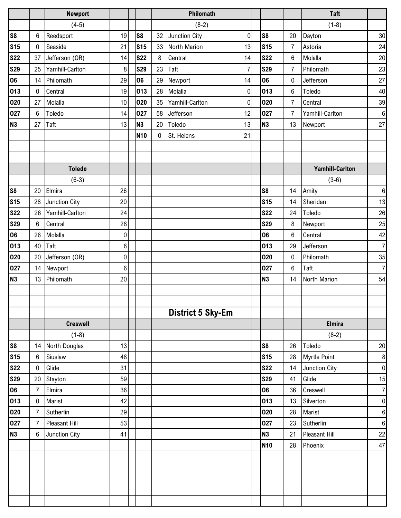|                |                | <b>Newport</b>  |                  |                 |    | Philomath                |           |                |                | <b>Taft</b>            |                  |
|----------------|----------------|-----------------|------------------|-----------------|----|--------------------------|-----------|----------------|----------------|------------------------|------------------|
|                |                | $(4-5)$         |                  |                 |    | $(8-2)$                  |           |                |                | $(1-8)$                |                  |
| s <sub>8</sub> | 6              | Reedsport       | 19               | S <sub>8</sub>  | 32 | Junction City            | $\pmb{0}$ | S <sub>8</sub> | 20             | Dayton                 | 30               |
| <b>S15</b>     | 0              | Seaside         | 21               | <b>S15</b>      | 33 | North Marion             | 13        | <b>S15</b>     | $\overline{7}$ | Astoria                | 24               |
| <b>S22</b>     | 37             | Jefferson (OR)  | 14               | <b>S22</b>      | 8  | Central                  | 14        | <b>S22</b>     | 6              | Molalla                | 20               |
| <b>S29</b>     | 25             | Yamhill-Carlton | 8                | <b>S29</b>      | 23 | Taft                     | 7         | <b>S29</b>     | $\overline{7}$ | Philomath              | 23               |
| 06             | 14             | Philomath       | 29               | 06              | 29 | Newport                  | 14        | 06             | 0              | Jefferson              | 27               |
| 013            | 0              | Central         | 19               | 013             | 28 | Molalla                  | $\pmb{0}$ | 013            | $\,6$          | Toledo                 | 40               |
| 020            | 27             | Molalla         | 10               | 020             | 35 | Yamhill-Carlton          | $\pmb{0}$ | 020            | $\overline{7}$ | Central                | 39               |
| 027            | 6              | Toledo          | 14               | 027             | 58 | Jefferson                | 12        | 027            | $\overline{7}$ | Yamhill-Carlton        | $\,6\,$          |
| <b>N3</b>      | 27             | Taft            | 13               | N3              | 20 | Toledo                   | 13        | N <sub>3</sub> | 13             | Newport                | 27               |
|                |                |                 |                  | N <sub>10</sub> | 0  | St. Helens               | 21        |                |                |                        |                  |
|                |                |                 |                  |                 |    |                          |           |                |                |                        |                  |
|                |                |                 |                  |                 |    |                          |           |                |                |                        |                  |
|                |                | <b>Toledo</b>   |                  |                 |    |                          |           |                |                | <b>Yamhill-Carlton</b> |                  |
|                |                | $(6-3)$         |                  |                 |    |                          |           |                |                | $(3-6)$                |                  |
| <b>S8</b>      | 20             | Elmira          | 26               |                 |    |                          |           | S <sub>8</sub> | 14             | Amity                  | $\,6\,$          |
| <b>S15</b>     | 28             | Junction City   | 20               |                 |    |                          |           | <b>S15</b>     | 14             | Sheridan               | 13               |
| <b>S22</b>     | 26             | Yamhill-Carlton | 24               |                 |    |                          |           | <b>S22</b>     | 24             | Toledo                 | $26\,$           |
| <b>S29</b>     | 6              | Central         | 28               |                 |    |                          |           | <b>S29</b>     | 8              | Newport                | 25               |
| 06             | 26             | Molalla         | $\boldsymbol{0}$ |                 |    |                          |           | 06             | 6              | Central                | 42               |
| 013            | 40             | Taft            | $\,6$            |                 |    |                          |           | 013            | 29             | Jefferson              | $\overline{7}$   |
| 020            | 20             | Jefferson (OR)  | $\pmb{0}$        |                 |    |                          |           | 020            | 0              | Philomath              | 35               |
| 027            | 14             | Newport         | 6                |                 |    |                          |           | 027            | 6              | Taft                   | $\overline{7}$   |
| <b>N3</b>      | 13             | Philomath       | 20               |                 |    |                          |           | N <sub>3</sub> | 14             | North Marion           | 54               |
|                |                |                 |                  |                 |    |                          |           |                |                |                        |                  |
|                |                |                 |                  |                 |    |                          |           |                |                |                        |                  |
|                |                |                 |                  |                 |    | <b>District 5 Sky-Em</b> |           |                |                |                        |                  |
|                |                | <b>Creswell</b> |                  |                 |    |                          |           |                |                | <b>Elmira</b>          |                  |
|                |                | $(1-8)$         |                  |                 |    |                          |           |                |                | $(8-2)$                |                  |
| <b>S8</b>      | 14             | North Douglas   | 13               |                 |    |                          |           | S <sub>8</sub> | 26             | Toledo                 | $20\,$           |
| <b>S15</b>     | 6              | Siuslaw         | 48               |                 |    |                          |           | <b>S15</b>     | 28             | Myrtle Point           | $\bf 8$          |
| <b>S22</b>     | 0              | Glide           | 31               |                 |    |                          |           | <b>S22</b>     | 14             | Junction City          | $\pmb{0}$        |
| <b>S29</b>     | 20             | Stayton         | 59               |                 |    |                          |           | <b>S29</b>     | 41             | Glide                  | 15               |
| 06             | 7              | Elmira          | 36               |                 |    |                          |           | 06             | 36             | Creswell               | $\boldsymbol{7}$ |
| 013            | 0              | Marist          | 42               |                 |    |                          |           | 013            | 13             | Silverton              | $\pmb{0}$        |
| 020            | $\overline{7}$ | Sutherlin       | 29               |                 |    |                          |           | 020            | 28             | Marist                 | $\,6$            |
| 027            | $\overline{7}$ | Pleasant Hill   | 53               |                 |    |                          |           | 027            | 23             | Sutherlin              | $\,6\,$          |
| <b>N3</b>      | 6              | Junction City   | 41               |                 |    |                          |           | <b>N3</b>      | 21             | <b>Pleasant Hill</b>   | $22\,$           |
|                |                |                 |                  |                 |    |                          |           | <b>N10</b>     | 28             | Phoenix                | 47               |
|                |                |                 |                  |                 |    |                          |           |                |                |                        |                  |
|                |                |                 |                  |                 |    |                          |           |                |                |                        |                  |
|                |                |                 |                  |                 |    |                          |           |                |                |                        |                  |
|                |                |                 |                  |                 |    |                          |           |                |                |                        |                  |
|                |                |                 |                  |                 |    |                          |           |                |                |                        |                  |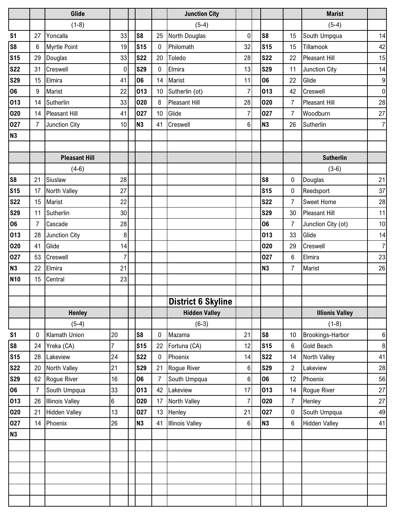|                |                | Glide                  |                |                 |    | <b>Junction City</b>      |                |                 |                | <b>Marist</b>          |                  |
|----------------|----------------|------------------------|----------------|-----------------|----|---------------------------|----------------|-----------------|----------------|------------------------|------------------|
|                |                | $(1-8)$                |                |                 |    | $(5-4)$                   |                |                 |                | $(5-4)$                |                  |
| S <sub>1</sub> | 27             | Yoncalla               | 33             | S <sub>8</sub>  | 25 | North Douglas             | $\pmb{0}$      | S <sub>8</sub>  | 15             | South Umpqua           | 14               |
| S8             | 6              | <b>Myrtle Point</b>    | 19             | <b>S15</b>      | 0  | Philomath                 | 32             | <b>S15</b>      | 15             | Tillamook              | 42               |
| <b>S15</b>     | 29             | Douglas                | 33             | <b>S22</b>      | 20 | Toledo                    | 28             | <b>S22</b>      | 22             | Pleasant Hill          | 15               |
| <b>S22</b>     | 31             | Creswell               | 0              | <b>S29</b>      | 0  | Elmira                    | 13             | <b>S29</b>      | 11             | Junction City          | 14               |
| <b>S29</b>     | 15             | Elmira                 | 41             | 06              | 14 | Marist                    | 11             | 06              | 22             | Glide                  | $\boldsymbol{9}$ |
| 06             | 9              | Marist                 | 22             | 013             | 10 | Sutherlin (ot)            | $\overline{7}$ | 013             | 42             | Creswell               | $\pmb{0}$        |
| 013            | 14             | Sutherlin              | 33             | 020             | 8  | Pleasant Hill             | 28             | 020             | $\overline{7}$ | <b>Pleasant Hill</b>   | 28               |
| 020            | 14             | <b>Pleasant Hill</b>   | 41             | 027             | 10 | Glide                     | $\overline{7}$ | 027             | $\overline{7}$ | Woodburn               | 27               |
| 027            | 7              | Junction City          | 10             | N <sub>3</sub>  | 41 | Creswell                  | 6              | N <sub>3</sub>  | 26             | Sutherlin              | $\overline{7}$   |
| <b>N3</b>      |                |                        |                |                 |    |                           |                |                 |                |                        |                  |
|                |                |                        |                |                 |    |                           |                |                 |                |                        |                  |
|                |                | <b>Pleasant Hill</b>   |                |                 |    |                           |                |                 |                | <b>Sutherlin</b>       |                  |
|                |                | $(4-6)$                |                |                 |    |                           |                |                 |                | $(3-6)$                |                  |
| S <sub>8</sub> | 21             | Siuslaw                | 28             |                 |    |                           |                | S <sub>8</sub>  | 0              | Douglas                | 21               |
| <b>S15</b>     | 17             | North Valley           | 27             |                 |    |                           |                | S <sub>15</sub> | 0              | Reedsport              | 37               |
| <b>S22</b>     | 15             | Marist                 | 22             |                 |    |                           |                | <b>S22</b>      | $\overline{7}$ | <b>Sweet Home</b>      | 28               |
| <b>S29</b>     | 11             | Sutherlin              | 30             |                 |    |                           |                | <b>S29</b>      | 30             | Pleasant Hill          | 11               |
| 06             | $\overline{7}$ | Cascade                | 28             |                 |    |                           |                | 06              | $\overline{7}$ | Junction City (ot)     | 10               |
| 013            | 28             | Junction City          | $\bf 8$        |                 |    |                           |                | 013             | 33             | Glide                  | 14               |
| 020            | 41             | Glide                  | 14             |                 |    |                           |                | 020             | 29             | Creswell               | $\overline{7}$   |
| 027            | 53             | Creswell               | $\overline{7}$ |                 |    |                           |                | 027             | 6              | Elmira                 | 23               |
| <b>N3</b>      | 22             | Elmira                 | 21             |                 |    |                           |                | N <sub>3</sub>  | $\overline{7}$ | Marist                 | 26               |
| <b>N10</b>     | 15             | Central                | 23             |                 |    |                           |                |                 |                |                        |                  |
|                |                |                        |                |                 |    |                           |                |                 |                |                        |                  |
|                |                |                        |                |                 |    | <b>District 6 Skyline</b> |                |                 |                |                        |                  |
|                |                | <b>Henley</b>          |                |                 |    | <b>Hidden Valley</b>      |                |                 |                | <b>Illionis Valley</b> |                  |
|                |                | $(5-4)$                |                |                 |    | $(6-3)$                   |                |                 |                | $(1-8)$                |                  |
| S <sub>1</sub> | 0              | Klamath Union          | 20             | S <sub>8</sub>  | 0  | Mazama                    | 21             | S <sub>8</sub>  | 10             | Brookings-Harbor       | 6                |
| S <sub>8</sub> | 24             | Yreka (CA)             | $\overline{7}$ | S <sub>15</sub> | 22 | Fortuna (CA)              | 12             | <b>S15</b>      | 6              | Gold Beach             | $\,8\,$          |
| <b>S15</b>     | 28             | Lakeview               | 24             | <b>S22</b>      | 0  | Phoenix                   | 14             | <b>S22</b>      | 14             | North Valley           | 41               |
| <b>S22</b>     | 20             | North Valley           | 21             | <b>S29</b>      | 21 | Rogue River               | 6              | <b>S29</b>      | $\overline{2}$ | Lakeview               | 28               |
| <b>S29</b>     | 62             | Rogue River            | 16             | 06              | 7  | South Umpqua              | 6              | 06              | 12             | Phoenix                | 56               |
| 06             | $\overline{7}$ | South Umpqua           | 33             | 013             | 42 | Lakeview                  | 17             | 013             | 14             | Rogue River            | 27               |
| 013            | 26             | <b>Illinois Valley</b> | 6              | 020             | 17 | North Valley              | $\overline{7}$ | 020             | $\overline{7}$ | Henley                 | 27               |
| 020            | 21             | <b>Hidden Valley</b>   | 13             | 027             | 13 | Henley                    | 21             | 027             | 0              | South Umpqua           | 49               |
| 027            | 14             | Phoenix                | 26             | N3              | 41 | <b>Illinois Valley</b>    | $\,6\,$        | N3              | 6              | <b>Hidden Valley</b>   | 41               |
| N3             |                |                        |                |                 |    |                           |                |                 |                |                        |                  |
|                |                |                        |                |                 |    |                           |                |                 |                |                        |                  |
|                |                |                        |                |                 |    |                           |                |                 |                |                        |                  |
|                |                |                        |                |                 |    |                           |                |                 |                |                        |                  |
|                |                |                        |                |                 |    |                           |                |                 |                |                        |                  |
|                |                |                        |                |                 |    |                           |                |                 |                |                        |                  |
|                |                |                        |                |                 |    |                           |                |                 |                |                        |                  |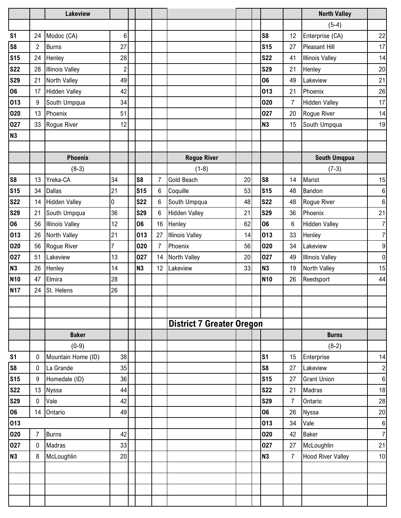|                |                | <b>Lakeview</b>        |                |                |    |                                  |    |                |                | <b>North Valley</b>      |                         |
|----------------|----------------|------------------------|----------------|----------------|----|----------------------------------|----|----------------|----------------|--------------------------|-------------------------|
|                |                |                        |                |                |    |                                  |    |                |                | $(5-4)$                  |                         |
| S <sub>1</sub> | 24             | Modoc (CA)             | 6              |                |    |                                  |    | S <sub>8</sub> | 12             | Enterprise (CA)          | 22                      |
| S <sub>8</sub> | $\overline{c}$ | <b>Burns</b>           | 27             |                |    |                                  |    | <b>S15</b>     | 27             | <b>Pleasant Hill</b>     | 17                      |
| <b>S15</b>     | 24             | Henley                 | 28             |                |    |                                  |    | <b>S22</b>     | 41             | <b>Illinois Valley</b>   | 14                      |
| <b>S22</b>     | 28             | <b>Illinois Valley</b> | $\overline{c}$ |                |    |                                  |    | <b>S29</b>     | 21             | Henley                   | 20                      |
| <b>S29</b>     | 21             | North Valley           | 49             |                |    |                                  |    | 06             | 49             | Lakeview                 | 21                      |
| 06             | 17             | <b>Hidden Valley</b>   | 42             |                |    |                                  |    | 013            | 21             | Phoenix                  | 26                      |
| 013            | 9              | South Umpqua           | 34             |                |    |                                  |    | 020            | $\overline{7}$ | <b>Hidden Valley</b>     | 17                      |
| 020            | 13             | Phoenix                | 51             |                |    |                                  |    | 027            | 20             | Rogue River              | 14                      |
| 027            | 33             | Rogue River            | 12             |                |    |                                  |    | N <sub>3</sub> | 15             | South Umpqua             | 19                      |
| <b>N3</b>      |                |                        |                |                |    |                                  |    |                |                |                          |                         |
|                |                |                        |                |                |    |                                  |    |                |                |                          |                         |
|                |                | <b>Phoenix</b>         |                |                |    | <b>Rogue River</b>               |    |                |                | <b>South Umqpua</b>      |                         |
|                |                | $(8-3)$                |                |                |    | $(1-8)$                          |    |                |                | $(7-3)$                  |                         |
| S <sub>8</sub> | 13             | Yreka-CA               | 34             | S <sub>8</sub> | 7  | <b>Gold Beach</b>                | 20 | S <sub>8</sub> | 14             | Marist                   | 15                      |
| <b>S15</b>     | 34             | <b>Dallas</b>          | 21             | <b>S15</b>     | 6  | Coquille                         | 53 | <b>S15</b>     | 48             | Bandon                   | $\boldsymbol{6}$        |
| <b>S22</b>     | 14             | <b>Hidden Valley</b>   | $\overline{0}$ | <b>S22</b>     | 6  | South Umpqua                     | 48 | <b>S22</b>     | 48             | Rogue River              | $\,6$                   |
| <b>S29</b>     | 21             | South Umpqua           | 36             | <b>S29</b>     | 6  | <b>Hidden Valley</b>             | 21 | <b>S29</b>     | 36             | Phoenix                  | 21                      |
| 06             | 56             | <b>Illinois Valley</b> | 12             | 06             | 16 | Henley                           | 62 | 06             | 6              | <b>Hidden Valley</b>     | $\overline{7}$          |
| 013            | 26             | North Valley           | 21             | 013            | 27 | <b>Illinois Valley</b>           | 14 | 013            | 33             | Henley                   | $\boldsymbol{7}$        |
| 020            | 56             | Rogue River            | $\overline{7}$ | 020            | 7  | Phoenix                          | 56 | 020            | 34             | Lakeview                 | $\boldsymbol{9}$        |
| 027            | 51             | Lakeview               | 13             | 027            | 14 | <b>North Valley</b>              | 20 | 027            | 49             | <b>Illinois Valley</b>   | $\pmb{0}$               |
| <b>N3</b>      | 26             | Henley                 | 14             | N <sub>3</sub> | 12 | Lakeview                         | 33 | N <sub>3</sub> | 19             | North Valley             | 15                      |
| <b>N10</b>     | 47             | Elmira                 | 28             |                |    |                                  |    | <b>N10</b>     | 26             | Reedsport                | 44                      |
| <b>N17</b>     | 24             | St. Helens             | 26             |                |    |                                  |    |                |                |                          |                         |
|                |                |                        |                |                |    |                                  |    |                |                |                          |                         |
|                |                |                        |                |                |    |                                  |    |                |                |                          |                         |
|                |                |                        |                |                |    | <b>District 7 Greater Oregon</b> |    |                |                |                          |                         |
|                |                | <b>Baker</b>           |                |                |    |                                  |    |                |                | <b>Burns</b>             |                         |
|                |                | $(0-9)$                |                |                |    |                                  |    |                |                | $(8-2)$                  |                         |
| S <sub>1</sub> | 0              | Mountain Home (ID)     | 38             |                |    |                                  |    | s <sub>1</sub> | 15             | Enterprise               | 14                      |
| S <sub>8</sub> | 0              | La Grande              | 35             |                |    |                                  |    | S <sub>8</sub> | 27             | Lakeview                 | $\overline{\mathbf{c}}$ |
| <b>S15</b>     | 9              | Homedale (ID)          | 36             |                |    |                                  |    | <b>S15</b>     | 27             | <b>Grant Union</b>       | $\,6\,$                 |
| <b>S22</b>     | 13             | Nyssa                  | 44             |                |    |                                  |    | <b>S22</b>     | 21             | Madras                   | 18                      |
| <b>S29</b>     | 0              | Vale                   | 42             |                |    |                                  |    | <b>S29</b>     | $\overline{7}$ | Ontario                  | 28                      |
| 06             | 14             | Ontario                | 49             |                |    |                                  |    | 06             | 26             | Nyssa                    | $20\,$                  |
| 013            |                |                        |                |                |    |                                  |    | 013            | 34             | Vale                     | 6                       |
| 020            | $\overline{7}$ | <b>Burns</b>           | 42             |                |    |                                  |    | 020            | 42             | <b>Baker</b>             | $\boldsymbol{7}$        |
| 027            | 0              | Madras                 | 33             |                |    |                                  |    | 027            | 27             | McLoughlin               | 21                      |
| <b>N3</b>      | 8              | McLoughlin             | 20             |                |    |                                  |    | <b>N3</b>      | $\overline{7}$ | <b>Hood River Valley</b> | 10                      |
|                |                |                        |                |                |    |                                  |    |                |                |                          |                         |
|                |                |                        |                |                |    |                                  |    |                |                |                          |                         |
|                |                |                        |                |                |    |                                  |    |                |                |                          |                         |
|                |                |                        |                |                |    |                                  |    |                |                |                          |                         |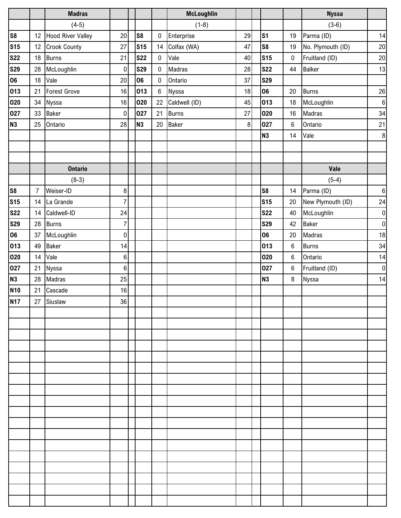|            |                | <b>Madras</b>            |                  |                 |                  | McLoughlin    |         |                |                  | <b>Nyssa</b>      |            |
|------------|----------------|--------------------------|------------------|-----------------|------------------|---------------|---------|----------------|------------------|-------------------|------------|
|            |                | $(4-5)$                  |                  |                 |                  | $(1-8)$       |         |                |                  | $(3-6)$           |            |
| <b>S8</b>  | 12             | <b>Hood River Valley</b> | 20               | S8              | $\pmb{0}$        | Enterprise    | 29      | S <sub>1</sub> | 19               | Parma (ID)        | 14         |
| <b>S15</b> | 12             | <b>Crook County</b>      | 27               | S <sub>15</sub> | 14               | Colfax (WA)   | 47      | S <sub>8</sub> | 19               | No. Plymouth (ID) | $20\,$     |
| <b>S22</b> | 18             | <b>Burns</b>             | 21               | <b>S22</b>      | $\bf{0}$         | Vale          | 40      | <b>S15</b>     | $\pmb{0}$        | Fruitland (ID)    | $20\,$     |
| <b>S29</b> | 28             | McLoughlin               | $\boldsymbol{0}$ | <b>S29</b>      | $\pmb{0}$        | Madras        | 28      | <b>S22</b>     | 44               | <b>Balker</b>     | 13         |
| 06         | 18             | Vale                     | 20               | 06              | $\boldsymbol{0}$ | Ontario       | 37      | <b>S29</b>     |                  |                   |            |
| 013        | 21             | <b>Forest Grove</b>      | 16               | 013             | 6                | Nyssa         | 18      | 06             | 20               | <b>Burns</b>      | ${\bf 26}$ |
| 020        | 34             | Nyssa                    | 16               | 020             | 22               | Caldwell (ID) | 45      | 013            | 18               | McLoughlin        | $\,6\,$    |
| 027        | 33             | <b>Baker</b>             | $\boldsymbol{0}$ | 027             | 21               | <b>Burns</b>  | 27      | 020            | 16               | Madras            | 34         |
| <b>N3</b>  | 25             | Ontario                  | 28               | <b>N3</b>       | $20\,$           | <b>Baker</b>  | $\bf 8$ | 027            | 6                | Ontario           | $21$       |
|            |                |                          |                  |                 |                  |               |         | <b>N3</b>      | 14               | Vale              | $\bf 8$    |
|            |                |                          |                  |                 |                  |               |         |                |                  |                   |            |
|            |                |                          |                  |                 |                  |               |         |                |                  |                   |            |
|            |                | <b>Ontario</b>           |                  |                 |                  |               |         |                |                  | Vale              |            |
|            |                | $(8-3)$                  |                  |                 |                  |               |         |                |                  | $(5-4)$           |            |
| S8         | $\overline{7}$ | Weiser-ID                | 8                |                 |                  |               |         | S <sub>8</sub> | 14               | Parma (ID)        | $\,6\,$    |
| <b>S15</b> |                | 14 La Grande             | $\overline{7}$   |                 |                  |               |         | <b>S15</b>     | 20               | New Plymouth (ID) | 24         |
| <b>S22</b> | 14             | Caldwell-ID              | 24               |                 |                  |               |         | <b>S22</b>     | 40               | McLoughlin        | $\pmb{0}$  |
| <b>S29</b> | 28             | <b>Burns</b>             | $\overline{7}$   |                 |                  |               |         | <b>S29</b>     | 42               | Baker             | $\pmb{0}$  |
| 06         | 37             | McLoughlin               | $\pmb{0}$        |                 |                  |               |         | 06             | 20               | Madras            | 18         |
| 013        | 49             | <b>Baker</b>             | 14               |                 |                  |               |         | 013            | $\,6\,$          | <b>Burns</b>      | 34         |
| 020        | 14             | Vale                     | $\,6$            |                 |                  |               |         | 020            | 6                | Ontario           | 14         |
| 027        | 21             | Nyssa                    | $\,6$            |                 |                  |               |         | 027            | $\boldsymbol{6}$ | Fruitland (ID)    | $\pmb{0}$  |
| <b>N3</b>  | 28             | Madras                   | 25               |                 |                  |               |         | <b>N3</b>      | 8                | Nyssa             | 14         |
| <b>N10</b> | 21             | Cascade                  | 16               |                 |                  |               |         |                |                  |                   |            |
| <b>N17</b> | 27             | Siuslaw                  | 36               |                 |                  |               |         |                |                  |                   |            |
|            |                |                          |                  |                 |                  |               |         |                |                  |                   |            |
|            |                |                          |                  |                 |                  |               |         |                |                  |                   |            |
|            |                |                          |                  |                 |                  |               |         |                |                  |                   |            |
|            |                |                          |                  |                 |                  |               |         |                |                  |                   |            |
|            |                |                          |                  |                 |                  |               |         |                |                  |                   |            |
|            |                |                          |                  |                 |                  |               |         |                |                  |                   |            |
|            |                |                          |                  |                 |                  |               |         |                |                  |                   |            |
|            |                |                          |                  |                 |                  |               |         |                |                  |                   |            |
|            |                |                          |                  |                 |                  |               |         |                |                  |                   |            |
|            |                |                          |                  |                 |                  |               |         |                |                  |                   |            |
|            |                |                          |                  |                 |                  |               |         |                |                  |                   |            |
|            |                |                          |                  |                 |                  |               |         |                |                  |                   |            |
|            |                |                          |                  |                 |                  |               |         |                |                  |                   |            |
|            |                |                          |                  |                 |                  |               |         |                |                  |                   |            |
|            |                |                          |                  |                 |                  |               |         |                |                  |                   |            |
|            |                |                          |                  |                 |                  |               |         |                |                  |                   |            |
|            |                |                          |                  |                 |                  |               |         |                |                  |                   |            |
|            |                |                          |                  |                 |                  |               |         |                |                  |                   |            |